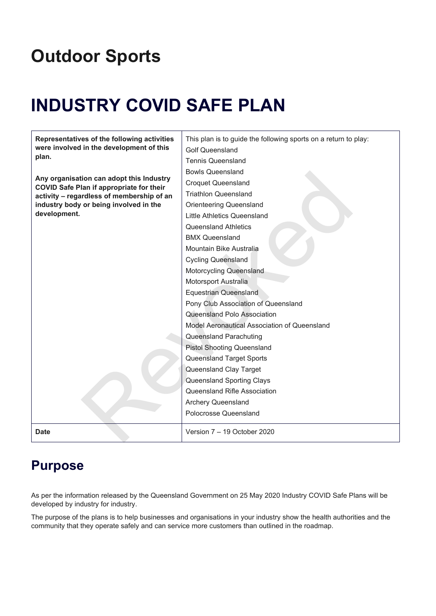# **Outdoor Sports**

# **INDUSTRY COVID SAFE PLAN**

| Representatives of the following activities                                                  | This plan is to guide the following sports on a return to play: |
|----------------------------------------------------------------------------------------------|-----------------------------------------------------------------|
| were involved in the development of this                                                     | <b>Golf Queensland</b>                                          |
| plan.                                                                                        | <b>Tennis Queensland</b>                                        |
|                                                                                              | <b>Bowls Queensland</b>                                         |
| Any organisation can adopt this Industry                                                     | <b>Croquet Queensland</b>                                       |
| <b>COVID Safe Plan if appropriate for their</b><br>activity - regardless of membership of an | <b>Triathlon Queensland</b>                                     |
| industry body or being involved in the                                                       | <b>Orienteering Queensland</b>                                  |
| development.                                                                                 | Little Athletics Queensland                                     |
|                                                                                              | Queensland Athletics                                            |
|                                                                                              | <b>BMX Queensland</b>                                           |
|                                                                                              | Mountain Bike Australia                                         |
|                                                                                              | <b>Cycling Queensland</b>                                       |
|                                                                                              | Motorcycling Queensland                                         |
|                                                                                              | Motorsport Australia                                            |
|                                                                                              | <b>Equestrian Queensland</b>                                    |
|                                                                                              | Pony Club Association of Queensland                             |
|                                                                                              | Queensland Polo Association                                     |
|                                                                                              | Model Aeronautical Association of Queensland                    |
|                                                                                              | Queensland Parachuting                                          |
|                                                                                              | <b>Pistol Shooting Queensland</b>                               |
|                                                                                              | Queensland Target Sports                                        |
|                                                                                              | Queensland Clay Target                                          |
|                                                                                              | Queensland Sporting Clays                                       |
|                                                                                              | Queensland Rifle Association                                    |
|                                                                                              | Archery Queensland                                              |
|                                                                                              | Polocrosse Queensland                                           |
| Date                                                                                         | Version 7 - 19 October 2020                                     |

# <span id="page-0-0"></span>**Purpose**

As per the information released by the Queensland Government on 25 May 2020 Industry COVID Safe Plans will be developed by industry for industry.

The purpose of the plans is to help businesses and organisations in your industry show the health authorities and the community that they operate safely and can service more customers than outlined in the roadmap.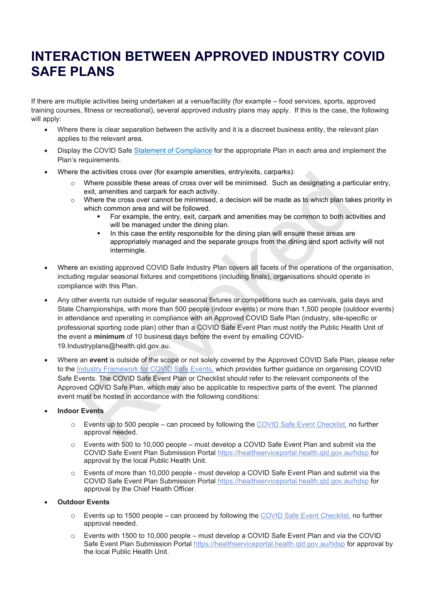# <span id="page-1-0"></span>**INTERACTION BETWEEN APPROVED INDUSTRY COVID SAFE PLANS**

If there are multiple activities being undertaken at a venue/facility (for example – food services, sports, approved training courses, fitness or recreational), several approved industry plans may apply. If this is the case, the following will apply:

- Where there is clear separation between the activity and it is a discreet business entity, the relevant plan applies to the relevant area.
- Display the COVID Safe Statement of [Compliance](https://www.covid19.qld.gov.au/government-actions/approved-industry-covid-safe-plans/assets/statement-of-compliance) for the appropriate Plan in each area and implement the Plan's requirements.
- Where the activities cross over (for example amenities, entry/exits, carparks):
	- $\circ$  Where possible these areas of cross over will be minimised. Such as designating a particular entry, exit, amenities and carpark for each activity.
	- $\circ$  Where the cross over cannot be minimised, a decision will be made as to which plan takes priority in which common area and will be followed.
		- For example, the entry, exit, carpark and amenities may be common to both activities and will be managed under the dining plan.
		- In this case the entity responsible for the dining plan will ensure these areas are appropriately managed and the separate groups from the dining and sport activity will not intermingle.
- Where an existing approved COVID Safe Industry Plan covers all facets of the operations of the organisation, including regular seasonal fixtures and competitions (including finals), organisations should operate in compliance with this Plan.
- Any other events run outside of regular seasonal fixtures or competitions such as carnivals, gala days and State Championships, with more than 500 people (indoor events) or more than 1,500 people (outdoor events) in attendance and operating in compliance with an Approved COVID Safe Plan (industry, site-specific or professional sporting code plan) other than a COVID Safe Event Plan must notify the Public Health Unit of the event a **minimum** of 10 business days before the event by emailing COVID-19.Industryplans@health.qld.gov.au. the activities cross over (for example annentines, entryiexits, carparis):<br>
Where possible these areas of cross over will be minimised. Such as designating a part<br>
exit, amentities and carpark for each activity.<br>
Where th
- Where an **event** is outside of the scope or not solely covered by the Approved COVID Safe Plan, please refer to the Industry Framework for COVID Safe Events, which provides further guidance on organising COVID Safe Events. The COVID Safe Event Plan or Checklist should refer to the relevant components of the Approved COVID Safe Plan, which may also be applicable to respective parts of the event. The planned event must be hosted in accordance with the following conditions:
- **Indoor Events** 
	- o Events up to 500 people can proceed by following the COVID Safe Event Checklist, no further approval needed.
	- $\circ$  Events with 500 to 10,000 people must develop a COVID Safe Event Plan and submit via the COVID Safe Event Plan Submission Portal <https://healthserviceportal.health.qld.gov.au/hdsp> for approval by the local Public Health Unit.
	- o Events of more than 10,000 people must develop a COVID Safe Event Plan and submit via the COVID Safe Event Plan Submission Portal <https://healthserviceportal.health.qld.gov.au/hdsp> for approval by the Chief Health Officer.
- **Outdoor Events** 
	- o Events up to 1500 people can proceed by following the COVID Safe Event [Checklist,](https://urldefense.proofpoint.com/v2/url?u=https-3A__www.covid19.qld.gov.au_-5F-5Fdata_assets_pdf-5Ffile_0014_132701_covid-2Dsafe-2Devent-2Dchecklist.pdf&d=DwMGaQ&c=tpTxelpKGw9ZbZ5Dlo0lybSxHDHIiYjksG4icXfalgk&r=iNsvEZL7DalpMd4F7uxP9GzRdybb4Un6jfJZAfir6Yo&m=U4iF4sQDGmigQ_35DEtxde7caVZk0iYgsjPP0WrNS8Y&s=AiGS7tXO9AtsNTSq2b1SB3ufX1PpUQt0zhrs4PlivGM&e=) no further approval needed.
	- o Events with 1500 to 10,000 people must develop a COVID Safe Event Plan and via the COVID Safe Event Plan Submission Portal <https://healthserviceportal.health.qld.gov.au/hdsp> for approval by the local Public Health Unit.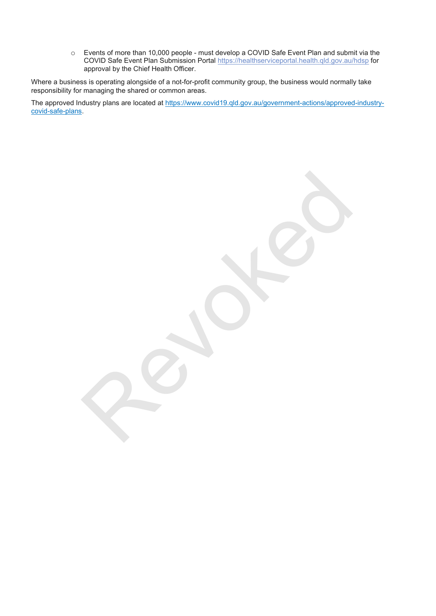o Events of more than 10,000 people - must develop a COVID Safe Event Plan and submit via the COVID Safe Event Plan Submission Portal <https://healthserviceportal.health.qld.gov.au/hdsp> for approval by the Chief Health Officer.

Where a business is operating alongside of a not-for-profit community group, the business would normally take responsibility for managing the shared or common areas.

<span id="page-2-0"></span>The approved Industry plans are located at [https://www.covid19.qld.gov.au/government-actions/approved-industry](https://www.covid19.qld.gov.au/government-actions/approved-industry-covid-safe-plans)[covid-safe-plans.](https://www.covid19.qld.gov.au/government-actions/approved-industry-covid-safe-plans)

Percoked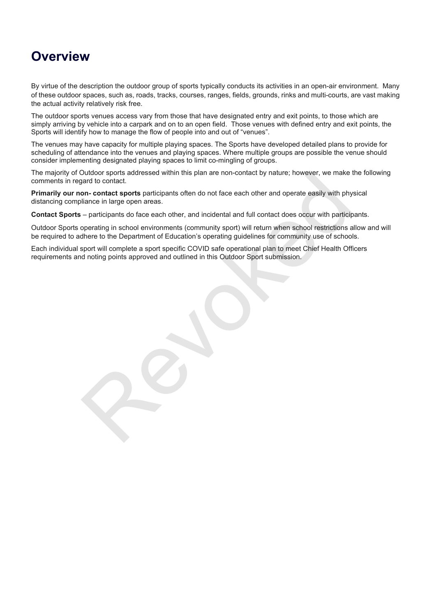# **Overview**

By virtue of the description the outdoor group of sports typically conducts its activities in an open-air environment. Many of these outdoor spaces, such as, roads, tracks, courses, ranges, fields, grounds, rinks and multi-courts, are vast making the actual activity relatively risk free.

The outdoor sports venues access vary from those that have designated entry and exit points, to those which are simply arriving by vehicle into a carpark and on to an open field. Those venues with defined entry and exit points, the Sports will identify how to manage the flow of people into and out of "venues".

The venues may have capacity for multiple playing spaces. The Sports have developed detailed plans to provide for scheduling of attendance into the venues and playing spaces. Where multiple groups are possible the venue should consider implementing designated playing spaces to limit co-mingling of groups.

The majority of Outdoor sports addressed within this plan are non-contact by nature; however, we make the following comments in regard to contact.

**Primarily our non- contact sports** participants often do not face each other and operate easily with physical distancing compliance in large open areas.

**Contact Sports** – participants do face each other, and incidental and full contact does occur with participants.

Outdoor Sports operating in school environments (community sport) will return when school restrictions allow and will be required to adhere to the Department of Education's operating guidelines for community use of schools. Dutdoor sports addressed within this plan are non-contact by nature; however, we make that<br>and to contact.<br> **On-contact sports** participants often do not face each other and operate easily with phylance in large open areas

Each individual sport will complete a sport specific COVID safe operational plan to meet Chief Health Officers requirements and noting points approved and outlined in this Outdoor Sport submission.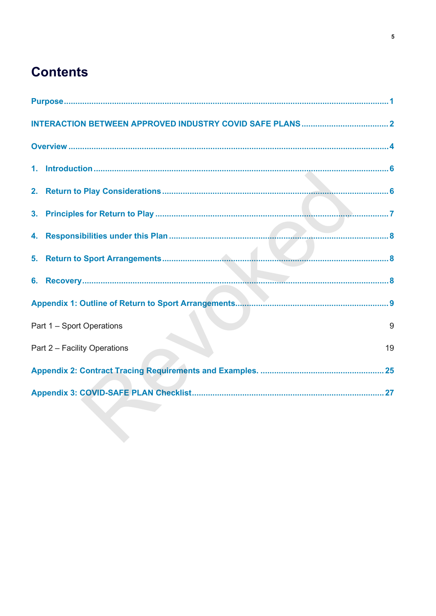# **Contents**

| 9<br>Part 1 - Sport Operations     |  |  |
|------------------------------------|--|--|
| 19<br>Part 2 - Facility Operations |  |  |
|                                    |  |  |
|                                    |  |  |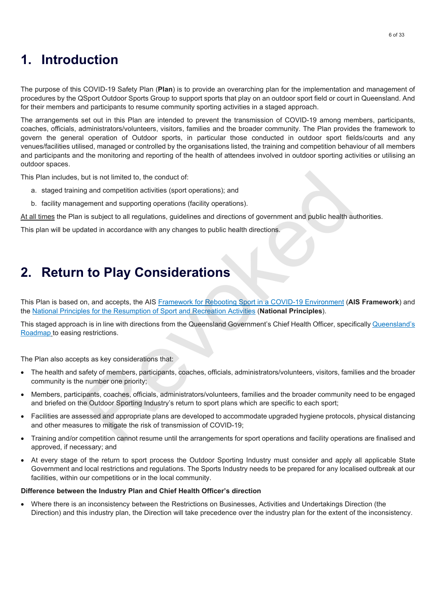## <span id="page-5-0"></span>**1. Introduction**

The purpose of this COVID-19 Safety Plan (**Plan**) is to provide an overarching plan for the implementation and management of procedures by the QSport Outdoor Sports Group to support sports that play on an outdoor sport field or court in Queensland. And for their members and participants to resume community sporting activities in a staged approach.

The arrangements set out in this Plan are intended to prevent the transmission of COVID-19 among members, participants, coaches, officials, administrators/volunteers, visitors, families and the broader community. The Plan provides the framework to govern the general operation of Outdoor sports, in particular those conducted in outdoor sport fields/courts and any venues/facilities utilised, managed or controlled by the organisations listed, the training and competition behaviour of all members and participants and the monitoring and reporting of the health of attendees involved in outdoor sporting activities or utilising an outdoor spaces.

This Plan includes, but is not limited to, the conduct of:

- a. staged training and competition activities (sport operations); and
- b. facility management and supporting operations (facility operations).

At all times the Plan is subject to all regulations, guidelines and directions of government and public health authorities.

This plan will be updated in accordance with any changes to public health directions.

### <span id="page-5-1"></span>**2. Return to Play Considerations**

This Plan is based on, and accepts, the AIS Framework for Rebooting Sport in a COVID-19 Environment (**AIS Framework**) and the National Principles for the Resumption of Sport and Recreation Activities (**National Principles**).

This staged approach is in line with directions from the Queensland Government's Chief Health Officer, specifically [Queensland's](https://www.covid19.qld.gov.au/government-actions/roadmap-to-easing-queenslands-restrictions) [Roadmap](https://www.covid19.qld.gov.au/government-actions/roadmap-to-easing-queenslands-restrictions) to easing restrictions.

The Plan also accepts as key considerations that:

- The health and safety of members, participants, coaches, officials, administrators/volunteers, visitors, families and the broader community is the number one priority;
- Members, participants, coaches, officials, administrators/volunteers, families and the broader community need to be engaged and briefed on the Outdoor Sporting Industry's return to sport plans which are specific to each sport; but is not limited to, the conduct of:<br>
Ing and competition activities (sport operations); and<br>
gement and supporting operations (facility operations).<br>
In is subject to all regulations, guidelines and directions of govern
- Facilities are assessed and appropriate plans are developed to accommodate upgraded hygiene protocols, physical distancing and other measures to mitigate the risk of transmission of COVID-19;
- Training and/or competition cannot resume until the arrangements for sport operations and facility operations are finalised and approved, if necessary; and
- At every stage of the return to sport process the Outdoor Sporting Industry must consider and apply all applicable State Government and local restrictions and regulations. The Sports Industry needs to be prepared for any localised outbreak at our facilities, within our competitions or in the local community.

#### **Difference between the Industry Plan and Chief Health Officer's direction**

• Where there is an inconsistency between the Restrictions on Businesses, Activities and Undertakings Direction (the Direction) and this industry plan, the Direction will take precedence over the industry plan for the extent of the inconsistency.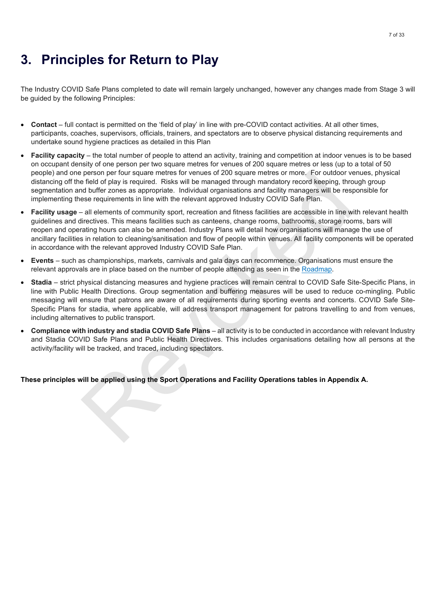# <span id="page-6-0"></span>**3. Principles for Return to Play**

The Industry COVID Safe Plans completed to date will remain largely unchanged, however any changes made from Stage 3 will be guided by the following Principles:

- **Contact** full contact is permitted on the 'field of play' in line with pre-COVID contact activities. At all other times, participants, coaches, supervisors, officials, trainers, and spectators are to observe physical distancing requirements and undertake sound hygiene practices as detailed in this Plan
- **Facility capacity** the total number of people to attend an activity, training and competition at indoor venues is to be based on occupant density of one person per two square metres for venues of 200 square metres or less (up to a total of 50 people) and one person per four square metres for venues of 200 square metres or more. For outdoor venues, physical distancing off the field of play is required. Risks will be managed through mandatory record keeping, through group segmentation and buffer zones as appropriate. Individual organisations and facility managers will be responsible for implementing these requirements in line with the relevant approved Industry COVID Safe Plan.
- **Facility usage** all elements of community sport, recreation and fitness facilities are accessible in line with relevant health guidelines and directives. This means facilities such as canteens, change rooms, bathrooms, storage rooms, bars will reopen and operating hours can also be amended. Industry Plans will detail how organisations will manage the use of ancillary facilities in relation to cleaning/sanitisation and flow of people within venues. All facility components will be operated in accordance with the relevant approved Industry COVID Safe Plan. p[e](https://www.covid19.qld.gov.au/government-actions/roadmap-to-easing-queenslands-restrictions)rson per four square metres for venues of 200 square metres or more. For outdoor venues that is the selection person performation in the relation of the field of play is required. Risks will be managed through mandatory
- **Events** such as championships, markets, carnivals and gala days can recommence. Organisations must ensure the relevant approvals are in place based on the number of people attending as seen in the Roadmap.
- **Stadia** strict physical distancing measures and hygiene practices will remain central to COVID Safe Site-Specific Plans, in line with Public Health Directions. Group segmentation and buffering measures will be used to reduce co-mingling. Public messaging will ensure that patrons are aware of all requirements during sporting events and concerts. COVID Safe Site-Specific Plans for stadia, where applicable, will address transport management for patrons travelling to and from venues, including alternatives to public transport.
- **Compliance with industry and stadia COVID Safe Plans** all activity is to be conducted in accordance with relevant Industry and Stadia COVID Safe Plans and Public Health Directives. This includes organisations detailing how all persons at the activity/facility will be tracked, and traced, including spectators.

**These principles will be applied using the Sport Operations and Facility Operations tables in Appendix A.**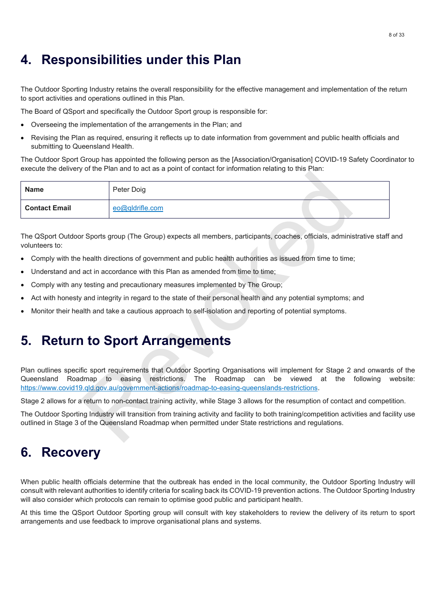# <span id="page-7-0"></span>**4. Responsibilities under this Plan**

The Outdoor Sporting Industry retains the overall responsibility for the effective management and implementation of the return to sport activities and operations outlined in this Plan.

The Board of QSport and specifically the Outdoor Sport group is responsible for:

- Overseeing the implementation of the arrangements in the Plan; and
- Revising the Plan as required, ensuring it reflects up to date information from government and public health officials and submitting to Queensland Health.

The Outdoor Sport Group has appointed the following person as the [Association/Organisation] COVID-19 Safety Coordinator to execute the delivery of the Plan and to act as a point of contact for information relating to this Plan:

| <b>Name</b>          | Peter Doig                                                                                                                                                                                                                                                                                                           |
|----------------------|----------------------------------------------------------------------------------------------------------------------------------------------------------------------------------------------------------------------------------------------------------------------------------------------------------------------|
| <b>Contact Email</b> | eo@qldrifle.com                                                                                                                                                                                                                                                                                                      |
| volunteers to:       | The QSport Outdoor Sports group (The Group) expects all members, participants, coaches, officials, administrative staff                                                                                                                                                                                              |
| ٠                    | Comply with the health directions of government and public health authorities as issued from time to time;                                                                                                                                                                                                           |
|                      | Understand and act in accordance with this Plan as amended from time to time:                                                                                                                                                                                                                                        |
| ٠                    | Comply with any testing and precautionary measures implemented by The Group;                                                                                                                                                                                                                                         |
| ٠                    | Act with honesty and integrity in regard to the state of their personal health and any potential symptoms; and                                                                                                                                                                                                       |
| $\bullet$            | Monitor their health and take a cautious approach to self-isolation and reporting of potential symptoms.                                                                                                                                                                                                             |
| 5.                   | <b>Return to Sport Arrangements</b>                                                                                                                                                                                                                                                                                  |
| Queensland           | Plan outlines specific sport requirements that Outdoor Sporting Organisations will implement for Stage 2 and onward<br>Roadmap to easing<br>restrictions.<br>The Roadmap<br>can<br>be viewed<br>at the<br>following<br>https://www.covid19.qld.gov.au/government-actions/roadmap-to-easing-queenslands-restrictions. |
|                      | Stage 2 allows for a return to non-contact training activity, while Stage 3 allows for the resumption of contact and compet                                                                                                                                                                                          |
|                      | The Outdoor Sporting Industry will transition from training activity and facility to both training/competition activities and face<br>outlined in Stage 3 of the Queensland Roadmap when permitted under State restrictions and regulations.                                                                         |

- Comply with the health directions of government and public health authorities as issued from time to time;
- Understand and act in accordance with this Plan as amended from time to time;
- Comply with any testing and precautionary measures implemented by The Group;
- Act with honesty and integrity in regard to the state of their personal health and any potential symptoms; and
- <span id="page-7-1"></span>• Monitor their health and take a cautious approach to self-isolation and reporting of potential symptoms.

### **5. Return to Sport Arrangements**

Plan outlines specific sport requirements that Outdoor Sporting Organisations will implement for Stage 2 and onwards of the Queensland Roadmap to easing restrictions. The Roadmap can be viewed at the following website: https://www.covid19.qld.gov.au/government-actions/roadmap-to-easing-queenslands-restrictions.

The Outdoor Sporting Industry will transition from training activity and facility to both training/competition activities and facility use outlined in Stage 3 of the Queensland Roadmap when permitted under State restrictions and regulations.

# <span id="page-7-2"></span>**6. Recovery**

When public health officials determine that the outbreak has ended in the local community, the Outdoor Sporting Industry will consult with relevant authorities to identify criteria for scaling back its COVID-19 prevention actions. The Outdoor Sporting Industry will also consider which protocols can remain to optimise good public and participant health.

At this time the QSport Outdoor Sporting group will consult with key stakeholders to review the delivery of its return to sport arrangements and use feedback to improve organisational plans and systems.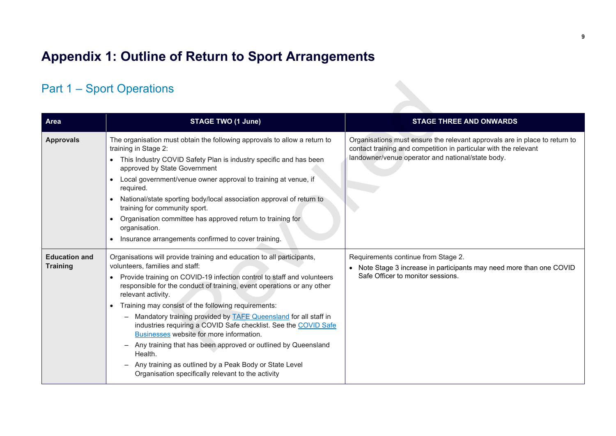# **Appendix 1: Outline of Return to Sport Arrangements**

# <span id="page-8-1"></span><span id="page-8-0"></span>Part 1 – Sport Operations

|                                         | <b>Part 1 – Sport Operations</b>                                                                                                                                                                                                                                                                                                                                                                                                                                                                                                                                                                                                                                                                                             |                                                                                                                                                                                                     |
|-----------------------------------------|------------------------------------------------------------------------------------------------------------------------------------------------------------------------------------------------------------------------------------------------------------------------------------------------------------------------------------------------------------------------------------------------------------------------------------------------------------------------------------------------------------------------------------------------------------------------------------------------------------------------------------------------------------------------------------------------------------------------------|-----------------------------------------------------------------------------------------------------------------------------------------------------------------------------------------------------|
| <b>Area</b>                             | <b>STAGE TWO (1 June)</b>                                                                                                                                                                                                                                                                                                                                                                                                                                                                                                                                                                                                                                                                                                    | <b>STAGE THREE AND ONWARDS</b>                                                                                                                                                                      |
| <b>Approvals</b>                        | The organisation must obtain the following approvals to allow a return to<br>training in Stage 2:<br>• This Industry COVID Safety Plan is industry specific and has been<br>approved by State Government<br>• Local government/venue owner approval to training at venue, if<br>required.<br>National/state sporting body/local association approval of return to<br>training for community sport.<br>Organisation committee has approved return to training for<br>organisation.<br>Insurance arrangements confirmed to cover training.                                                                                                                                                                                     | Organisations must ensure the relevant approvals are in place to return to<br>contact training and competition in particular with the relevant<br>landowner/venue operator and national/state body. |
| <b>Education and</b><br><b>Training</b> | Organisations will provide training and education to all participants,<br>volunteers, families and staff:<br>• Provide training on COVID-19 infection control to staff and volunteers<br>responsible for the conduct of training, event operations or any other<br>relevant activity.<br>• Training may consist of the following requirements:<br>Mandatory training provided by TAFE Queensland for all staff in<br>industries requiring a COVID Safe checklist. See the COVID Safe<br>Businesses website for more information.<br>Any training that has been approved or outlined by Queensland<br>Health.<br>Any training as outlined by a Peak Body or State Level<br>Organisation specifically relevant to the activity | Requirements continue from Stage 2.<br>• Note Stage 3 increase in participants may need more than one COVID<br>Safe Officer to monitor sessions.                                                    |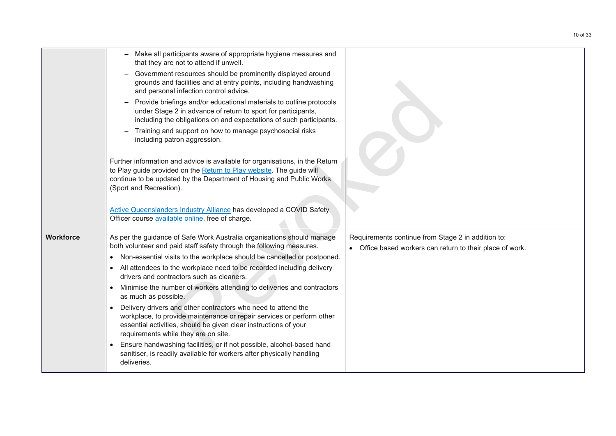|                  | Make all participants aware of appropriate hygiene measures and<br>that they are not to attend if unwell.                                                                                                                                                       |                                                                                                                 |
|------------------|-----------------------------------------------------------------------------------------------------------------------------------------------------------------------------------------------------------------------------------------------------------------|-----------------------------------------------------------------------------------------------------------------|
|                  | Government resources should be prominently displayed around<br>grounds and facilities and at entry points, including handwashing<br>and personal infection control advice.                                                                                      |                                                                                                                 |
|                  | Provide briefings and/or educational materials to outline protocols<br>under Stage 2 in advance of return to sport for participants,<br>including the obligations on and expectations of such participants.                                                     |                                                                                                                 |
|                  | Training and support on how to manage psychosocial risks<br>$\overline{\phantom{0}}$<br>including patron aggression.                                                                                                                                            |                                                                                                                 |
|                  | Further information and advice is available for organisations, in the Return<br>to Play guide provided on the Return to Play website. The guide will<br>continue to be updated by the Department of Housing and Public Works<br>(Sport and Recreation).         |                                                                                                                 |
|                  | Active Queenslanders Industry Alliance has developed a COVID Safety<br>Officer course available online, free of charge.                                                                                                                                         |                                                                                                                 |
| <b>Workforce</b> | As per the guidance of Safe Work Australia organisations should manage<br>both volunteer and paid staff safety through the following measures.                                                                                                                  | Requirements continue from Stage 2 in addition to:<br>• Office based workers can return to their place of work. |
|                  | Non-essential visits to the workplace should be cancelled or postponed.<br>$\bullet$                                                                                                                                                                            |                                                                                                                 |
|                  | All attendees to the workplace need to be recorded including delivery<br>$\bullet$<br>drivers and contractors such as cleaners.                                                                                                                                 |                                                                                                                 |
|                  | Minimise the number of workers attending to deliveries and contractors<br>$\bullet$<br>as much as possible.                                                                                                                                                     |                                                                                                                 |
|                  | Delivery drivers and other contractors who need to attend the<br>$\bullet$<br>workplace, to provide maintenance or repair services or perform other<br>essential activities, should be given clear instructions of your<br>requirements while they are on site. |                                                                                                                 |
|                  | Ensure handwashing facilities, or if not possible, alcohol-based hand<br>$\bullet$<br>sanitiser, is readily available for workers after physically handling<br>deliveries.                                                                                      |                                                                                                                 |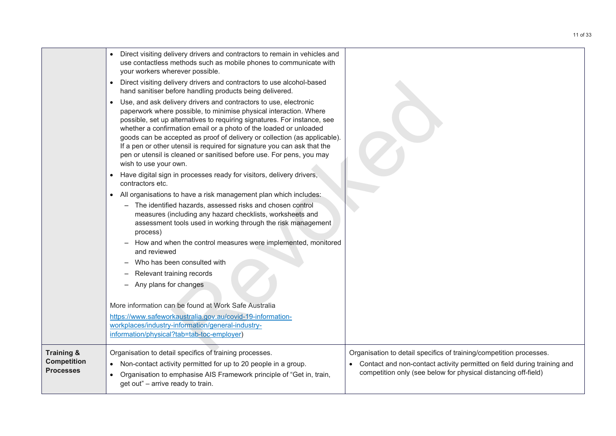|                                        | Direct visiting delivery drivers and contractors to remain in vehicles and<br>$\bullet$<br>use contactless methods such as mobile phones to communicate with<br>your workers wherever possible.<br>Direct visiting delivery drivers and contractors to use alcohol-based<br>$\bullet$<br>hand sanitiser before handling products being delivered.<br>Use, and ask delivery drivers and contractors to use, electronic<br>$\bullet$<br>paperwork where possible, to minimise physical interaction. Where<br>possible, set up alternatives to requiring signatures. For instance, see<br>whether a confirmation email or a photo of the loaded or unloaded<br>goods can be accepted as proof of delivery or collection (as applicable).<br>If a pen or other utensil is required for signature you can ask that the<br>pen or utensil is cleaned or sanitised before use. For pens, you may |                                                                                                                                           |
|----------------------------------------|-------------------------------------------------------------------------------------------------------------------------------------------------------------------------------------------------------------------------------------------------------------------------------------------------------------------------------------------------------------------------------------------------------------------------------------------------------------------------------------------------------------------------------------------------------------------------------------------------------------------------------------------------------------------------------------------------------------------------------------------------------------------------------------------------------------------------------------------------------------------------------------------|-------------------------------------------------------------------------------------------------------------------------------------------|
|                                        | wish to use your own.<br>Have digital sign in processes ready for visitors, delivery drivers,<br>$\bullet$<br>contractors etc.                                                                                                                                                                                                                                                                                                                                                                                                                                                                                                                                                                                                                                                                                                                                                            |                                                                                                                                           |
|                                        | • All organisations to have a risk management plan which includes:                                                                                                                                                                                                                                                                                                                                                                                                                                                                                                                                                                                                                                                                                                                                                                                                                        |                                                                                                                                           |
|                                        | The identified hazards, assessed risks and chosen control<br>$\qquad \qquad -$<br>measures (including any hazard checklists, worksheets and<br>assessment tools used in working through the risk management<br>process)                                                                                                                                                                                                                                                                                                                                                                                                                                                                                                                                                                                                                                                                   |                                                                                                                                           |
|                                        | How and when the control measures were implemented, monitored<br>and reviewed                                                                                                                                                                                                                                                                                                                                                                                                                                                                                                                                                                                                                                                                                                                                                                                                             |                                                                                                                                           |
|                                        | Who has been consulted with                                                                                                                                                                                                                                                                                                                                                                                                                                                                                                                                                                                                                                                                                                                                                                                                                                                               |                                                                                                                                           |
|                                        | Relevant training records                                                                                                                                                                                                                                                                                                                                                                                                                                                                                                                                                                                                                                                                                                                                                                                                                                                                 |                                                                                                                                           |
|                                        | Any plans for changes<br>$\qquad \qquad -$                                                                                                                                                                                                                                                                                                                                                                                                                                                                                                                                                                                                                                                                                                                                                                                                                                                |                                                                                                                                           |
|                                        | More information can be found at Work Safe Australia                                                                                                                                                                                                                                                                                                                                                                                                                                                                                                                                                                                                                                                                                                                                                                                                                                      |                                                                                                                                           |
|                                        | https://www.safeworkaustralia.gov.au/covid-19-information-                                                                                                                                                                                                                                                                                                                                                                                                                                                                                                                                                                                                                                                                                                                                                                                                                                |                                                                                                                                           |
|                                        | workplaces/industry-information/general-industry-<br>information/physical?tab=tab-toc-employer)                                                                                                                                                                                                                                                                                                                                                                                                                                                                                                                                                                                                                                                                                                                                                                                           |                                                                                                                                           |
|                                        |                                                                                                                                                                                                                                                                                                                                                                                                                                                                                                                                                                                                                                                                                                                                                                                                                                                                                           |                                                                                                                                           |
| <b>Training &amp;</b>                  | Organisation to detail specifics of training processes.                                                                                                                                                                                                                                                                                                                                                                                                                                                                                                                                                                                                                                                                                                                                                                                                                                   | Organisation to detail specifics of training/competition processes.                                                                       |
| <b>Competition</b><br><b>Processes</b> | Non-contact activity permitted for up to 20 people in a group.<br>$\bullet$                                                                                                                                                                                                                                                                                                                                                                                                                                                                                                                                                                                                                                                                                                                                                                                                               | Contact and non-contact activity permitted on field during training and<br>competition only (see below for physical distancing off-field) |
|                                        | Organisation to emphasise AIS Framework principle of "Get in, train,<br>get out" - arrive ready to train.                                                                                                                                                                                                                                                                                                                                                                                                                                                                                                                                                                                                                                                                                                                                                                                 |                                                                                                                                           |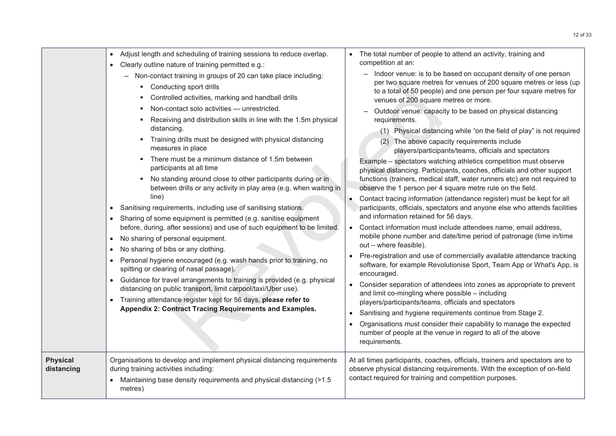|                               | Adjust length and scheduling of training sessions to reduce overlap.<br>Clearly outline nature of training permitted e.g.:<br>- Non-contact training in groups of 20 can take place including:<br>• Conducting sport drills<br>Controlled activities, marking and handball drills<br>Non-contact solo activities - unrestricted.<br>Receiving and distribution skills in line with the 1.5m physical<br>٠<br>distancing.<br>Training drills must be designed with physical distancing<br>٠<br>measures in place<br>There must be a minimum distance of 1.5m between<br>٠<br>participants at all time<br>No standing around close to other participants during or in<br>٠<br>between drills or any activity in play area (e.g. when waiting in<br>line)<br>Sanitising requirements, including use of sanitising stations.<br>$\bullet$<br>Sharing of some equipment is permitted (e.g. sanitise equipment<br>$\bullet$<br>before, during, after sessions) and use of such equipment to be limited.<br>No sharing of personal equipment.<br>$\bullet$<br>No sharing of bibs or any clothing.<br>$\bullet$<br>Personal hygiene encouraged (e.g. wash hands prior to training, no<br>$\bullet$<br>spitting or clearing of nasal passage).<br>Guidance for travel arrangements to training is provided (e.g. physical<br>$\bullet$<br>distancing on public transport, limit carpool/taxi/Uber use).<br>Training attendance register kept for 56 days, please refer to<br>$\bullet$<br>Appendix 2: Contract Tracing Requirements and Examples. | The total number of people to attend an activity, training and<br>competition at an:<br>Indoor venue: is to be based on occupant density of one person<br>per two square metres for venues of 200 square metres or less (up<br>to a total of 50 people) and one person per four square metres for<br>venues of 200 square metres or more.<br>Outdoor venue: capacity to be based on physical distancing<br>requirements.<br>(1) Physical distancing while "on the field of play" is not required<br>(2) The above capacity requirements include<br>players/participants/teams, officials and spectators<br>Example - spectators watching athletics competition must observe<br>physical distancing. Participants, coaches, officials and other support<br>functions (trainers, medical staff, water runners etc) are not required to<br>observe the 1 person per 4 square metre rule on the field.<br>Contact tracing information (attendance register) must be kept for all<br>$\bullet$<br>participants, officials, spectators and anyone else who attends facilities<br>and information retained for 56 days.<br>Contact information must include attendees name, email address,<br>$\bullet$<br>mobile phone number and date/time period of patronage (time in/time<br>out - where feasible).<br>Pre-registration and use of commercially available attendance tracking<br>$\bullet$<br>software, for example Revolutionise Sport, Team App or What's App, is<br>encouraged.<br>Consider separation of attendees into zones as appropriate to prevent<br>$\bullet$<br>and limit co-mingling where possible - including<br>players/participants/teams, officials and spectators<br>Sanitising and hygiene requirements continue from Stage 2.<br>$\bullet$<br>Organisations must consider their capability to manage the expected<br>$\bullet$<br>number of people at the venue in regard to all of the above<br>requirements. |
|-------------------------------|------------------------------------------------------------------------------------------------------------------------------------------------------------------------------------------------------------------------------------------------------------------------------------------------------------------------------------------------------------------------------------------------------------------------------------------------------------------------------------------------------------------------------------------------------------------------------------------------------------------------------------------------------------------------------------------------------------------------------------------------------------------------------------------------------------------------------------------------------------------------------------------------------------------------------------------------------------------------------------------------------------------------------------------------------------------------------------------------------------------------------------------------------------------------------------------------------------------------------------------------------------------------------------------------------------------------------------------------------------------------------------------------------------------------------------------------------------------------------------------------------------------------------------------|-----------------------------------------------------------------------------------------------------------------------------------------------------------------------------------------------------------------------------------------------------------------------------------------------------------------------------------------------------------------------------------------------------------------------------------------------------------------------------------------------------------------------------------------------------------------------------------------------------------------------------------------------------------------------------------------------------------------------------------------------------------------------------------------------------------------------------------------------------------------------------------------------------------------------------------------------------------------------------------------------------------------------------------------------------------------------------------------------------------------------------------------------------------------------------------------------------------------------------------------------------------------------------------------------------------------------------------------------------------------------------------------------------------------------------------------------------------------------------------------------------------------------------------------------------------------------------------------------------------------------------------------------------------------------------------------------------------------------------------------------------------------------------------------------------------------------------------------------------------------------------------------------------------------------------------|
| <b>Physical</b><br>distancing | Organisations to develop and implement physical distancing requirements<br>during training activities including:<br>Maintaining base density requirements and physical distancing (>1.5<br>metres)                                                                                                                                                                                                                                                                                                                                                                                                                                                                                                                                                                                                                                                                                                                                                                                                                                                                                                                                                                                                                                                                                                                                                                                                                                                                                                                                       | At all times participants, coaches, officials, trainers and spectators are to<br>observe physical distancing requirements. With the exception of on-field<br>contact required for training and competition purposes.                                                                                                                                                                                                                                                                                                                                                                                                                                                                                                                                                                                                                                                                                                                                                                                                                                                                                                                                                                                                                                                                                                                                                                                                                                                                                                                                                                                                                                                                                                                                                                                                                                                                                                              |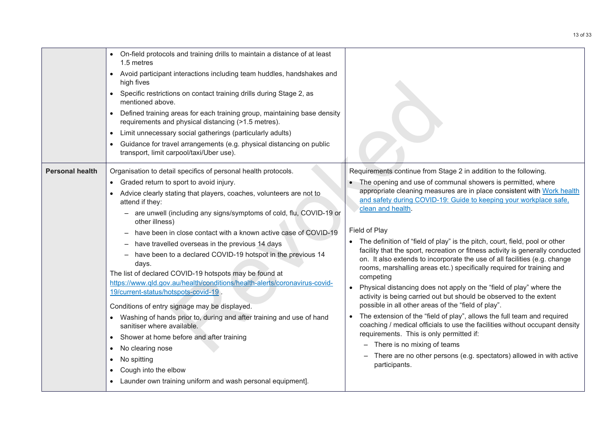|                        | • On-field protocols and training drills to maintain a distance of at least<br>1.5 metres<br>• Avoid participant interactions including team huddles, handshakes and<br>high fives<br>Specific restrictions on contact training drills during Stage 2, as<br>$\bullet$<br>mentioned above.<br>Defined training areas for each training group, maintaining base density<br>$\bullet$<br>requirements and physical distancing (>1.5 metres).<br>Limit unnecessary social gatherings (particularly adults)<br>$\bullet$<br>Guidance for travel arrangements (e.g. physical distancing on public<br>$\bullet$<br>transport, limit carpool/taxi/Uber use).                                                                                                                                                                                                                                                                                                                                                                                    |                                                                                                                                                                                                                                                                                                                                                                                                                                                                                                                                                                                                                                                                                                                                                                                                                                                                                                                                                                                                                                                                                                                                                                                                                           |
|------------------------|------------------------------------------------------------------------------------------------------------------------------------------------------------------------------------------------------------------------------------------------------------------------------------------------------------------------------------------------------------------------------------------------------------------------------------------------------------------------------------------------------------------------------------------------------------------------------------------------------------------------------------------------------------------------------------------------------------------------------------------------------------------------------------------------------------------------------------------------------------------------------------------------------------------------------------------------------------------------------------------------------------------------------------------|---------------------------------------------------------------------------------------------------------------------------------------------------------------------------------------------------------------------------------------------------------------------------------------------------------------------------------------------------------------------------------------------------------------------------------------------------------------------------------------------------------------------------------------------------------------------------------------------------------------------------------------------------------------------------------------------------------------------------------------------------------------------------------------------------------------------------------------------------------------------------------------------------------------------------------------------------------------------------------------------------------------------------------------------------------------------------------------------------------------------------------------------------------------------------------------------------------------------------|
| <b>Personal health</b> | Organisation to detail specifics of personal health protocols.<br>• Graded return to sport to avoid injury.<br>Advice clearly stating that players, coaches, volunteers are not to<br>attend if they:<br>- are unwell (including any signs/symptoms of cold, flu, COVID-19 or<br>other illness)<br>have been in close contact with a known active case of COVID-19<br>have travelled overseas in the previous 14 days<br>have been to a declared COVID-19 hotspot in the previous 14<br>days.<br>The list of declared COVID-19 hotspots may be found at<br>https://www.qld.gov.au/health/conditions/health-alerts/coronavirus-covid-<br>19/current-status/hotspots-covid-19<br>Conditions of entry signage may be displayed.<br>• Washing of hands prior to, during and after training and use of hand<br>sanitiser where available.<br>Shower at home before and after training<br>$\bullet$<br>No clearing nose<br>٠<br>No spitting<br>$\bullet$<br>Cough into the elbow<br>Launder own training uniform and wash personal equipment]. | Requirements continue from Stage 2 in addition to the following.<br>• The opening and use of communal showers is permitted, where<br>appropriate cleaning measures are in place consistent with Work health<br>and safety during COVID-19: Guide to keeping your workplace safe,<br>clean and health.<br>Field of Play<br>• The definition of "field of play" is the pitch, court, field, pool or other<br>facility that the sport, recreation or fitness activity is generally conducted<br>on. It also extends to incorporate the use of all facilities (e.g. change<br>rooms, marshalling areas etc.) specifically required for training and<br>competing<br>Physical distancing does not apply on the "field of play" where the<br>$\bullet$<br>activity is being carried out but should be observed to the extent<br>possible in all other areas of the "field of play".<br>The extension of the "field of play", allows the full team and required<br>$\bullet$<br>coaching / medical officials to use the facilities without occupant density<br>requirements. This is only permitted if:<br>- There is no mixing of teams<br>There are no other persons (e.g. spectators) allowed in with active<br>participants. |
|                        |                                                                                                                                                                                                                                                                                                                                                                                                                                                                                                                                                                                                                                                                                                                                                                                                                                                                                                                                                                                                                                          |                                                                                                                                                                                                                                                                                                                                                                                                                                                                                                                                                                                                                                                                                                                                                                                                                                                                                                                                                                                                                                                                                                                                                                                                                           |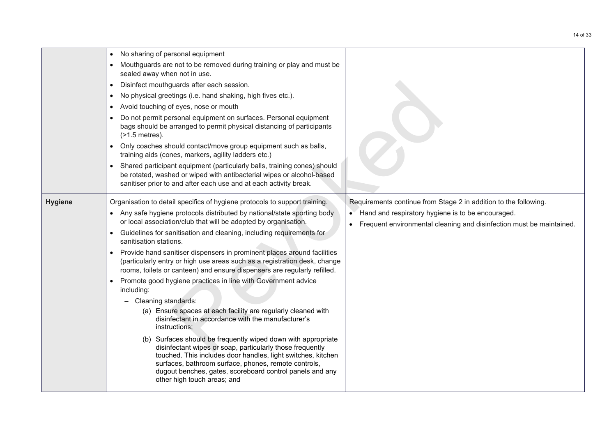|                | No sharing of personal equipment<br>Mouthguards are not to be removed during training or play and must be<br>sealed away when not in use.<br>Disinfect mouthguards after each session.<br>$\bullet$<br>No physical greetings (i.e. hand shaking, high fives etc.).<br>Avoid touching of eyes, nose or mouth<br>Do not permit personal equipment on surfaces. Personal equipment<br>bags should be arranged to permit physical distancing of participants<br>$($ >1.5 metres).<br>Only coaches should contact/move group equipment such as balls,<br>$\bullet$<br>training aids (cones, markers, agility ladders etc.)<br>Shared participant equipment (particularly balls, training cones) should<br>be rotated, washed or wiped with antibacterial wipes or alcohol-based<br>sanitiser prior to and after each use and at each activity break.                                                                                                                                                                                                                                                                                                                             |                                                                                                                                                                                                 |
|----------------|-----------------------------------------------------------------------------------------------------------------------------------------------------------------------------------------------------------------------------------------------------------------------------------------------------------------------------------------------------------------------------------------------------------------------------------------------------------------------------------------------------------------------------------------------------------------------------------------------------------------------------------------------------------------------------------------------------------------------------------------------------------------------------------------------------------------------------------------------------------------------------------------------------------------------------------------------------------------------------------------------------------------------------------------------------------------------------------------------------------------------------------------------------------------------------|-------------------------------------------------------------------------------------------------------------------------------------------------------------------------------------------------|
| <b>Hygiene</b> | Organisation to detail specifics of hygiene protocols to support training.<br>• Any safe hygiene protocols distributed by national/state sporting body<br>or local association/club that will be adopted by organisation.<br>Guidelines for sanitisation and cleaning, including requirements for<br>sanitisation stations.<br>Provide hand sanitiser dispensers in prominent places around facilities<br>$\bullet$<br>(particularly entry or high use areas such as a registration desk, change<br>rooms, toilets or canteen) and ensure dispensers are regularly refilled.<br>Promote good hygiene practices in line with Government advice<br>including:<br>Cleaning standards:<br>(a) Ensure spaces at each facility are regularly cleaned with<br>disinfectant in accordance with the manufacturer's<br>instructions;<br>(b) Surfaces should be frequently wiped down with appropriate<br>disinfectant wipes or soap, particularly those frequently<br>touched. This includes door handles, light switches, kitchen<br>surfaces, bathroom surface, phones, remote controls,<br>dugout benches, gates, scoreboard control panels and any<br>other high touch areas; and | Requirements continue from Stage 2 in addition to the following.<br>• Hand and respiratory hygiene is to be encouraged.<br>Frequent environmental cleaning and disinfection must be maintained. |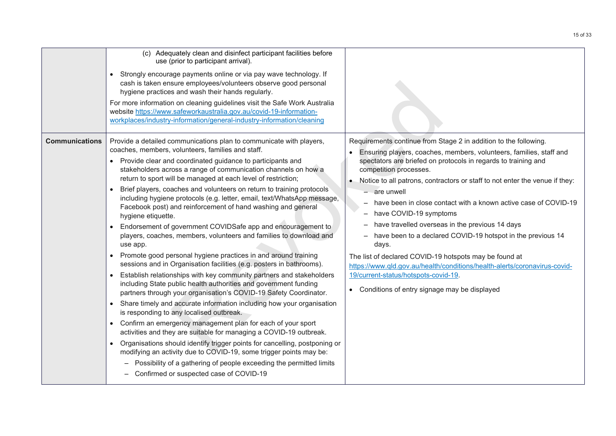|                       | (c) Adequately clean and disinfect participant facilities before<br>use (prior to participant arrival).<br>Strongly encourage payments online or via pay wave technology. If<br>$\bullet$<br>cash is taken ensure employees/volunteers observe good personal<br>hygiene practices and wash their hands regularly.<br>For more information on cleaning guidelines visit the Safe Work Australia<br>website https://www.safeworkaustralia.gov.au/covid-19-information-<br>workplaces/industry-information/general-industry-information/cleaning                                                                                                                                                                                                                                                                                                                                                                                                                                                                                                                                                                                                                                                                                                                                                                                                                                                                                                                                                                                                                                                                                                                          |                                                                                                                                                                                                                                                                                                                                                                                                                                                                                                                                                                                                                                                                                                                                                                                                                       |
|-----------------------|------------------------------------------------------------------------------------------------------------------------------------------------------------------------------------------------------------------------------------------------------------------------------------------------------------------------------------------------------------------------------------------------------------------------------------------------------------------------------------------------------------------------------------------------------------------------------------------------------------------------------------------------------------------------------------------------------------------------------------------------------------------------------------------------------------------------------------------------------------------------------------------------------------------------------------------------------------------------------------------------------------------------------------------------------------------------------------------------------------------------------------------------------------------------------------------------------------------------------------------------------------------------------------------------------------------------------------------------------------------------------------------------------------------------------------------------------------------------------------------------------------------------------------------------------------------------------------------------------------------------------------------------------------------------|-----------------------------------------------------------------------------------------------------------------------------------------------------------------------------------------------------------------------------------------------------------------------------------------------------------------------------------------------------------------------------------------------------------------------------------------------------------------------------------------------------------------------------------------------------------------------------------------------------------------------------------------------------------------------------------------------------------------------------------------------------------------------------------------------------------------------|
| <b>Communications</b> | Provide a detailed communications plan to communicate with players,<br>coaches, members, volunteers, families and staff.<br>Provide clear and coordinated guidance to participants and<br>stakeholders across a range of communication channels on how a<br>return to sport will be managed at each level of restriction;<br>Brief players, coaches and volunteers on return to training protocols<br>including hygiene protocols (e.g. letter, email, text/WhatsApp message,<br>Facebook post) and reinforcement of hand washing and general<br>hygiene etiquette.<br>Endorsement of government COVIDSafe app and encouragement to<br>players, coaches, members, volunteers and families to download and<br>use app.<br>Promote good personal hygiene practices in and around training<br>$\bullet$<br>sessions and in Organisation facilities (e.g. posters in bathrooms).<br>Establish relationships with key community partners and stakeholders<br>including State public health authorities and government funding<br>partners through your organisation's COVID-19 Safety Coordinator.<br>Share timely and accurate information including how your organisation<br>is responding to any localised outbreak.<br>Confirm an emergency management plan for each of your sport<br>$\bullet$<br>activities and they are suitable for managing a COVID-19 outbreak.<br>Organisations should identify trigger points for cancelling, postponing or<br>modifying an activity due to COVID-19, some trigger points may be:<br>Possibility of a gathering of people exceeding the permitted limits<br>$\overline{\phantom{m}}$<br>Confirmed or suspected case of COVID-19 | Requirements continue from Stage 2 in addition to the following.<br>Ensuring players, coaches, members, volunteers, families, staff and<br>spectators are briefed on protocols in regards to training and<br>competition processes.<br>Notice to all patrons, contractors or staff to not enter the venue if they:<br>- are unwell<br>have been in close contact with a known active case of COVID-19<br>$\qquad \qquad -$<br>have COVID-19 symptoms<br>—<br>have travelled overseas in the previous 14 days<br>have been to a declared COVID-19 hotspot in the previous 14<br>days.<br>The list of declared COVID-19 hotspots may be found at<br>https://www.qld.gov.au/health/conditions/health-alerts/coronavirus-covid-<br>19/current-status/hotspots-covid-19.<br>• Conditions of entry signage may be displayed |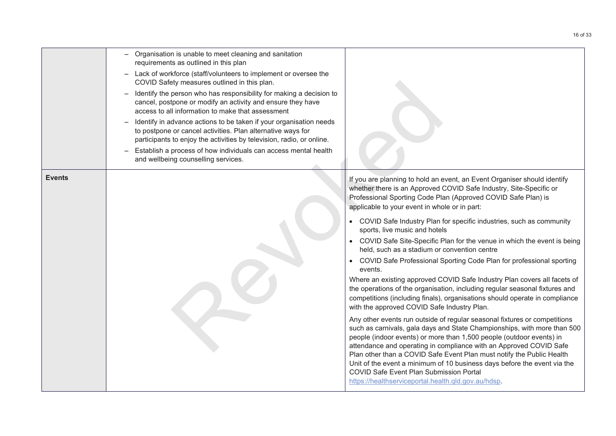|               | Organisation is unable to meet cleaning and sanitation<br>requirements as outlined in this plan                                                                                                            |                                                                                                                                                                                                                                                                                                                                                                                                                                                                                                                                                            |
|---------------|------------------------------------------------------------------------------------------------------------------------------------------------------------------------------------------------------------|------------------------------------------------------------------------------------------------------------------------------------------------------------------------------------------------------------------------------------------------------------------------------------------------------------------------------------------------------------------------------------------------------------------------------------------------------------------------------------------------------------------------------------------------------------|
|               | Lack of workforce (staff/volunteers to implement or oversee the<br>COVID Safety measures outlined in this plan.                                                                                            |                                                                                                                                                                                                                                                                                                                                                                                                                                                                                                                                                            |
|               | Identify the person who has responsibility for making a decision to<br>cancel, postpone or modify an activity and ensure they have<br>access to all information to make that assessment                    |                                                                                                                                                                                                                                                                                                                                                                                                                                                                                                                                                            |
|               | Identify in advance actions to be taken if your organisation needs<br>to postpone or cancel activities. Plan alternative ways for<br>participants to enjoy the activities by television, radio, or online. |                                                                                                                                                                                                                                                                                                                                                                                                                                                                                                                                                            |
|               | Establish a process of how individuals can access mental health<br>and wellbeing counselling services.                                                                                                     |                                                                                                                                                                                                                                                                                                                                                                                                                                                                                                                                                            |
| <b>Events</b> |                                                                                                                                                                                                            | If you are planning to hold an event, an Event Organiser should identify<br>whether there is an Approved COVID Safe Industry, Site-Specific or<br>Professional Sporting Code Plan (Approved COVID Safe Plan) is<br>applicable to your event in whole or in part:                                                                                                                                                                                                                                                                                           |
|               |                                                                                                                                                                                                            | COVID Safe Industry Plan for specific industries, such as community<br>sports, live music and hotels                                                                                                                                                                                                                                                                                                                                                                                                                                                       |
|               |                                                                                                                                                                                                            | COVID Safe Site-Specific Plan for the venue in which the event is being<br>held, such as a stadium or convention centre                                                                                                                                                                                                                                                                                                                                                                                                                                    |
|               |                                                                                                                                                                                                            | COVID Safe Professional Sporting Code Plan for professional sporting<br>events.                                                                                                                                                                                                                                                                                                                                                                                                                                                                            |
|               |                                                                                                                                                                                                            | Where an existing approved COVID Safe Industry Plan covers all facets of<br>the operations of the organisation, including regular seasonal fixtures and<br>competitions (including finals), organisations should operate in compliance<br>with the approved COVID Safe Industry Plan.                                                                                                                                                                                                                                                                      |
|               |                                                                                                                                                                                                            | Any other events run outside of regular seasonal fixtures or competitions<br>such as carnivals, gala days and State Championships, with more than 500<br>people (indoor events) or more than 1,500 people (outdoor events) in<br>attendance and operating in compliance with an Approved COVID Safe<br>Plan other than a COVID Safe Event Plan must notify the Public Health<br>Unit of the event a minimum of 10 business days before the event via the<br>COVID Safe Event Plan Submission Portal<br>https://healthserviceportal.health.qld.gov.au/hdsp. |
|               |                                                                                                                                                                                                            |                                                                                                                                                                                                                                                                                                                                                                                                                                                                                                                                                            |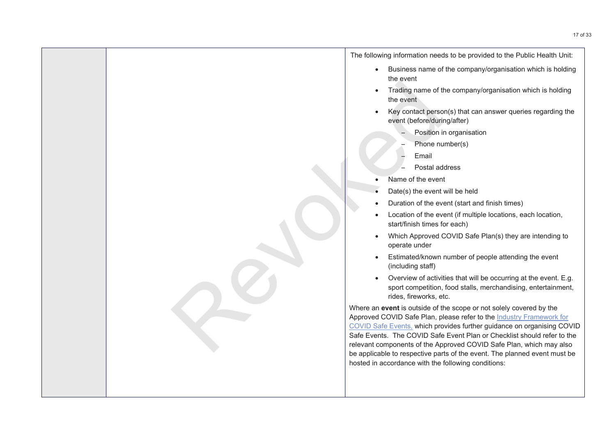The following information needs to be provided to the Public Health Unit:

- Business name of the company/organisation which is holding the event
- Trading name of the company/organisation which is holding the event
- Key contact person(s) that can answer queries regarding the event (before/during/after)
	- Position in organisation
	- Phone number(s)
	- Email
	- Postal address
- Name of the event
- Date(s) the event will be held
- Duration of the event (start and finish times)
- Location of the event (if multiple locations, each location, start/finish times for each)
- Which Approved COVID Safe Plan(s) they are intending to operate under
- Estimated/known number of people attending the event (including staff)
- Overview of activities that will be occurring at the event. E.g. sport competition, food stalls, merchandising, entertainment, rides, fireworks, etc.

Where an **event** is outside of the scope or not solely covered by the Approved COVID Safe Plan, please refer to the Industry [Framework](https://urldefense.proofpoint.com/v2/url?u=https-3A__www.covid19.qld.gov.au_-5F-5Fdata_assets_pdf-5Ffile_0018_132570_industry-2Dframework-2Dcovid-2Dsafe-2Devents.pdf&d=DwMFAg&c=tpTxelpKGw9ZbZ5Dlo0lybSxHDHIiYjksG4icXfalgk&r=8fDb85_Mg-Fm1sWk9M2-k384V02dU7uXRHrmSHj9q6s&m=Yp14JdAdT6Facepaox4tk5nSiiW_pSUcODmeFjTjBn8&s=GY2XA5yRY2Wx5vrRYOLssjG8smlrJp96DE2tiEgIyxU&e=) for COVID Safe Events, which provides further guidance on organising COVID Safe Events. The COVID Safe Event Plan or Checklist should refer to the relevant components of the Approved COVID Safe Plan, which may also be applicable to respective parts of the event. The planned event must be • Trading manne of the event<br>
• Key contact person to the event<br>
• Key contact person to the event<br>
• Position in<br>
• Position in<br>
• Position in<br>
• Position of the event<br>
• Date(s) the event<br>
• Duration of the event<br>
• Luc hosted in accordance with the following conditions: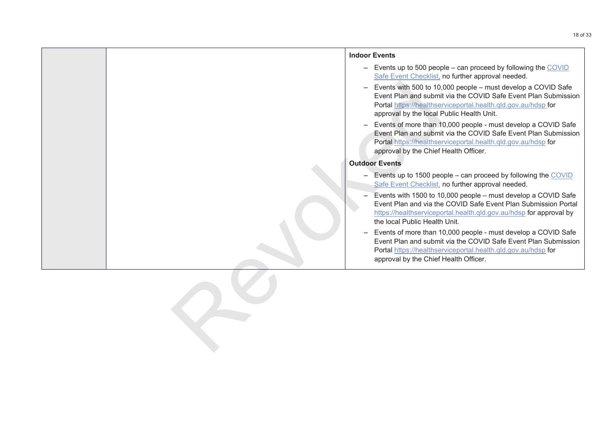<span id="page-17-0"></span>

|  | <b>Indoor Events</b>                                                                                                                                                                                                                                                     |
|--|--------------------------------------------------------------------------------------------------------------------------------------------------------------------------------------------------------------------------------------------------------------------------|
|  | - Events up to 500 people - can proceed by following the $COVID$<br>Safe Event Checklist, no further approval needed.                                                                                                                                                    |
|  | Events with 500 to 10,000 people - must develop a COVID Safe<br>$\overline{\phantom{0}}$<br>Event Plan and submit via the COVID Safe Event Plan Submission<br>Portal https://healthserviceportal.health.qld.gov.au/hdsp.for<br>approval by the local Public Health Unit. |
|  | Events of more than 10,000 people - must develop a COVID Safe<br>$\overline{\phantom{m}}$<br>Event Plan and submit via the COVID Safe Event Plan Submission<br>Portal https://healthserviceportal.health.qld.gov.au/hdsp for<br>approval by the Chief Health Officer.    |
|  | <b>Outdoor Events</b>                                                                                                                                                                                                                                                    |
|  | - Events up to 1500 people - can proceed by following the COVID<br>Safe Event Checklist, no further approval needed.                                                                                                                                                     |
|  | Events with 1500 to 10,000 people - must develop a COVID Safe<br>Event Plan and via the COVID Safe Event Plan Submission Portal<br>https://healthserviceportal.health.qld.gov.au/hdsp for approval by<br>the local Public Health Unit.                                   |
|  | Events of more than 10,000 people - must develop a COVID Safe<br>$\overline{\phantom{0}}$<br>Event Plan and submit via the COVID Safe Event Plan Submission<br>Portal https://healthserviceportal.health.qld.gov.au/hdsp for<br>approval by the Chief Health Officer.    |
|  |                                                                                                                                                                                                                                                                          |
|  |                                                                                                                                                                                                                                                                          |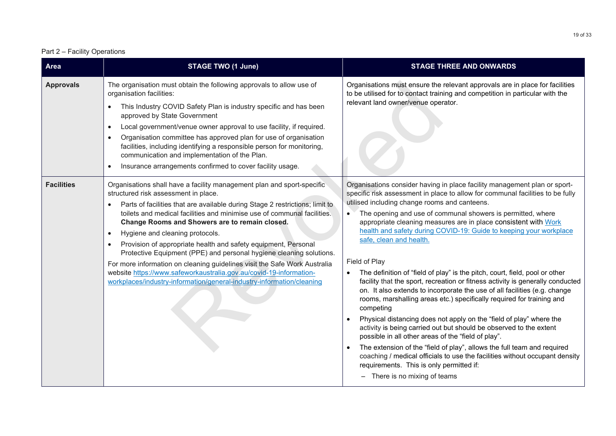#### Part 2 – Facility Operations

| <b>Area</b>       | <b>STAGE TWO (1 June)</b>                                                                                                                                                                                                                                                                                                                                                                                                                                                                                                                                                                                                                                                                                                                                                  | <b>STAGE THREE AND ONWARDS</b>                                                                                                                                                                                                                                                                                                                                                                                                                                                                                                                                                                                                                                                                                                                                                                                                                                                                                                                                                                                                                                                                                                                                                                                                                                            |
|-------------------|----------------------------------------------------------------------------------------------------------------------------------------------------------------------------------------------------------------------------------------------------------------------------------------------------------------------------------------------------------------------------------------------------------------------------------------------------------------------------------------------------------------------------------------------------------------------------------------------------------------------------------------------------------------------------------------------------------------------------------------------------------------------------|---------------------------------------------------------------------------------------------------------------------------------------------------------------------------------------------------------------------------------------------------------------------------------------------------------------------------------------------------------------------------------------------------------------------------------------------------------------------------------------------------------------------------------------------------------------------------------------------------------------------------------------------------------------------------------------------------------------------------------------------------------------------------------------------------------------------------------------------------------------------------------------------------------------------------------------------------------------------------------------------------------------------------------------------------------------------------------------------------------------------------------------------------------------------------------------------------------------------------------------------------------------------------|
| <b>Approvals</b>  | The organisation must obtain the following approvals to allow use of<br>organisation facilities:<br>This Industry COVID Safety Plan is industry specific and has been<br>$\bullet$<br>approved by State Government<br>Local government/venue owner approval to use facility, if required.<br>$\bullet$<br>Organisation committee has approved plan for use of organisation<br>$\bullet$<br>facilities, including identifying a responsible person for monitoring,<br>communication and implementation of the Plan.<br>Insurance arrangements confirmed to cover facility usage.<br>$\bullet$                                                                                                                                                                               | Organisations must ensure the relevant approvals are in place for facilities<br>to be utilised for to contact training and competition in particular with the<br>relevant land owner/venue operator.                                                                                                                                                                                                                                                                                                                                                                                                                                                                                                                                                                                                                                                                                                                                                                                                                                                                                                                                                                                                                                                                      |
| <b>Facilities</b> | Organisations shall have a facility management plan and sport-specific<br>structured risk assessment in place.<br>Parts of facilities that are available during Stage 2 restrictions; limit to<br>$\bullet$<br>toilets and medical facilities and minimise use of communal facilities.<br>Change Rooms and Showers are to remain closed.<br>Hygiene and cleaning protocols.<br>$\bullet$<br>Provision of appropriate health and safety equipment, Personal<br>$\bullet$<br>Protective Equipment (PPE) and personal hygiene cleaning solutions.<br>For more information on cleaning guidelines visit the Safe Work Australia<br>website https://www.safeworkaustralia.gov.au/covid-19-information-<br>workplaces/industry-information/general-industry-information/cleaning | Organisations consider having in place facility management plan or sport-<br>specific risk assessment in place to allow for communal facilities to be fully<br>utilised including change rooms and canteens.<br>The opening and use of communal showers is permitted, where<br>appropriate cleaning measures are in place consistent with Work<br>health and safety during COVID-19: Guide to keeping your workplace<br>safe, clean and health.<br>Field of Play<br>The definition of "field of play" is the pitch, court, field, pool or other<br>facility that the sport, recreation or fitness activity is generally conducted<br>on. It also extends to incorporate the use of all facilities (e.g. change<br>rooms, marshalling areas etc.) specifically required for training and<br>competing<br>Physical distancing does not apply on the "field of play" where the<br>$\bullet$<br>activity is being carried out but should be observed to the extent<br>possible in all other areas of the "field of play".<br>The extension of the "field of play", allows the full team and required<br>$\bullet$<br>coaching / medical officials to use the facilities without occupant density<br>requirements. This is only permitted if:<br>- There is no mixing of teams |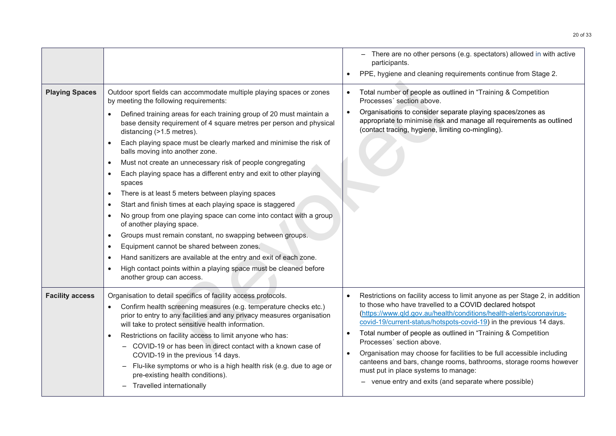| <b>Playing Spaces</b>  | Outdoor sport fields can accommodate multiple playing spaces or zones<br>by meeting the following requirements:<br>Defined training areas for each training group of 20 must maintain a<br>base density requirement of 4 square metres per person and physical<br>distancing (>1.5 metres).<br>Each playing space must be clearly marked and minimise the risk of<br>$\bullet$<br>balls moving into another zone.<br>Must not create an unnecessary risk of people congregating<br>$\bullet$<br>Each playing space has a different entry and exit to other playing<br>$\bullet$<br>spaces<br>There is at least 5 meters between playing spaces<br>$\bullet$<br>Start and finish times at each playing space is staggered<br>$\bullet$<br>No group from one playing space can come into contact with a group<br>of another playing space.<br>Groups must remain constant, no swapping between groups.<br>$\bullet$<br>Equipment cannot be shared between zones.<br>$\bullet$<br>Hand sanitizers are available at the entry and exit of each zone.<br>$\bullet$<br>High contact points within a playing space must be cleaned before<br>another group can access. | - There are no other persons (e.g. spectators) allowed in with active<br>participants.<br>PPE, hygiene and cleaning requirements continue from Stage 2.<br>Total number of people as outlined in "Training & Competition<br>Processes' section above.<br>Organisations to consider separate playing spaces/zones as<br>$\bullet$<br>appropriate to minimise risk and manage all requirements as outlined<br>(contact tracing, hygiene, limiting co-mingling).                                                                                                                                                                                                 |
|------------------------|-----------------------------------------------------------------------------------------------------------------------------------------------------------------------------------------------------------------------------------------------------------------------------------------------------------------------------------------------------------------------------------------------------------------------------------------------------------------------------------------------------------------------------------------------------------------------------------------------------------------------------------------------------------------------------------------------------------------------------------------------------------------------------------------------------------------------------------------------------------------------------------------------------------------------------------------------------------------------------------------------------------------------------------------------------------------------------------------------------------------------------------------------------------------|---------------------------------------------------------------------------------------------------------------------------------------------------------------------------------------------------------------------------------------------------------------------------------------------------------------------------------------------------------------------------------------------------------------------------------------------------------------------------------------------------------------------------------------------------------------------------------------------------------------------------------------------------------------|
| <b>Facility access</b> | Organisation to detail specifics of facility access protocols.<br>Confirm health screening measures (e.g. temperature checks etc.)<br>prior to entry to any facilities and any privacy measures organisation<br>will take to protect sensitive health information.<br>Restrictions on facility access to limit anyone who has:<br>$\bullet$<br>COVID-19 or has been in direct contact with a known case of<br>$-$<br>COVID-19 in the previous 14 days.<br>Flu-like symptoms or who is a high health risk (e.g. due to age or<br>$\overline{\phantom{0}}$<br>pre-existing health conditions).<br>Travelled internationally<br>$\overline{\phantom{0}}$                                                                                                                                                                                                                                                                                                                                                                                                                                                                                                           | Restrictions on facility access to limit anyone as per Stage 2, in addition<br>$\bullet$<br>to those who have travelled to a COVID declared hotspot<br>(https://www.qld.gov.au/health/conditions/health-alerts/coronavirus-<br>covid-19/current-status/hotspots-covid-19) in the previous 14 days.<br>Total number of people as outlined in "Training & Competition<br>$\bullet$<br>Processes' section above.<br>Organisation may choose for facilities to be full accessible including<br>canteens and bars, change rooms, bathrooms, storage rooms however<br>must put in place systems to manage:<br>- venue entry and exits (and separate where possible) |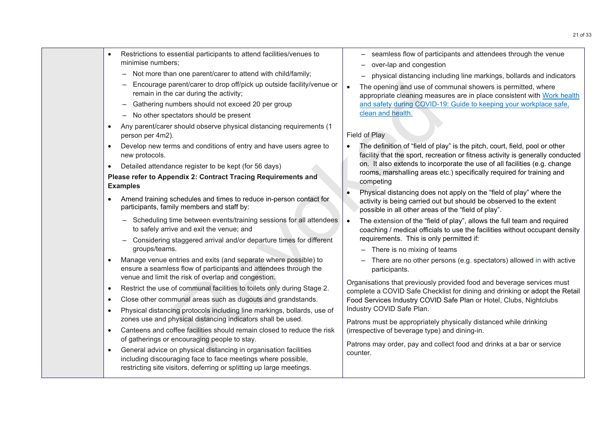- Restrictions to essential participants to attend facilities/venues to minimise numbers;
	- Not more than one parent/carer to attend with child/family;
	- Encourage parent/carer to drop off/pick up outside facility/venue or remain in the car during the activity;
	- Gathering numbers should not exceed 20 per group
	- No other spectators should be present
- Any parent/carer should observe physical distancing requirements (1 person per 4m2).
- Develop new terms and conditions of entry and have users agree to new protocols.
- Detailed attendance register to be kept (for 56 days)

#### **Please refer to Appendix 2: Contract Tracing Requirements and Examples**

- Amend training schedules and times to reduce in-person contact for participants, family members and staff by:
	- Scheduling time between events/training sessions for all attendees to safely arrive and exit the venue; and
	- Considering staggered arrival and/or departure times for different groups/teams.
- Manage venue entries and exits (and separate where possible) to ensure a seamless flow of participants and attendees through the venue and limit the risk of overlap and congestion.
- Restrict the use of communal facilities to toilets only during Stage 2.
- Close other communal areas such as dugouts and grandstands.
- Physical distancing protocols including line markings, bollards, use of zones use and physical distancing indicators shall be used.
- Canteens and coffee facilities should remain closed to reduce the risk of gatherings or encouraging people to stay.
- General advice on physical distancing in organisation facilities including discouraging face to face meetings where possible, restricting site visitors, deferring or splitting up large meetings.
- seamless flow of participants and attendees through the venue
- over-lap and congestion
- physical distancing including line markings, bollards and indicators
- The opening and use of communal showers is permitted, where appropriate cleaning measures are in place consistent with Work [health](https://www.worksafe.qld.gov.au/__data/assets/pdf_file/0005/191678/covid-19-overview-and-guide.pdf) and safety during COVID-19: Guide to keeping your workplace safe, clean and health.

#### Field of Play

- The definition of "field of play" is the pitch, court, field, pool or other facility that the sport, recreation or fitness activity is generally conducted on. It also extends to incorporate the use of all facilities (e.g. change rooms, marshalling areas etc.) specifically required for training and competing or an[d](https://www.worksafe.qld.gov.au/__data/assets/pdf_file/0005/191678/covid-19-overview-and-guide.pdf) starting the activity,<br>
are a during the activity of the properties colour unders should not exceed 20 per group<br>
and safety during GOVID-1:<br>
Elead of Play<br>
In small observe physical distancing requirements (1<br>
2. C
	- Physical distancing does not apply on the "field of play" where the activity is being carried out but should be observed to the extent possible in all other areas of the "field of play".
	- The extension of the "field of play", allows the full team and required coaching / medical officials to use the facilities without occupant density requirements. This is only permitted if:
		- There is no mixing of teams
		- There are no other persons (e.g. spectators) allowed in with active participants.

Organisations that previously provided food and beverage services must complete a COVID Safe Checklist for dining and drinking or adopt the Retail Food Services Industry COVID Safe Plan or Hotel, Clubs, Nightclubs Industry COVID Safe Plan.

Patrons must be appropriately physically distanced while drinking (irrespective of beverage type) and dining-in.

Patrons may order, pay and collect food and drinks at a bar or service counter.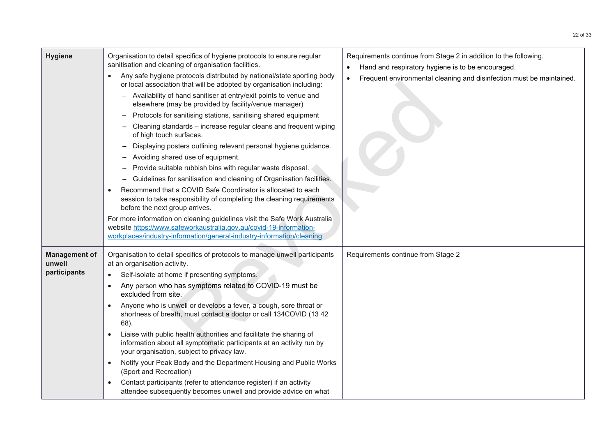| <b>Hygiene</b>                                 | Organisation to detail specifics of hygiene protocols to ensure regular<br>sanitisation and cleaning of organisation facilities.<br>Any safe hygiene protocols distributed by national/state sporting body<br>$\bullet$<br>or local association that will be adopted by organisation including:<br>Availability of hand sanitiser at entry/exit points to venue and<br>$\qquad \qquad -$<br>elsewhere (may be provided by facility/venue manager)<br>Protocols for sanitising stations, sanitising shared equipment<br>$\overline{\phantom{m}}$<br>Cleaning standards - increase regular cleans and frequent wiping<br>of high touch surfaces.<br>Displaying posters outlining relevant personal hygiene guidance.<br>Avoiding shared use of equipment.<br>Provide suitable rubbish bins with regular waste disposal.<br>$\overline{\phantom{m}}$<br>Guidelines for sanitisation and cleaning of Organisation facilities.<br>Recommend that a COVID Safe Coordinator is allocated to each<br>$\bullet$<br>session to take responsibility of completing the cleaning requirements<br>before the next group arrives.<br>For more information on cleaning guidelines visit the Safe Work Australia<br>website https://www.safeworkaustralia.gov.au/covid-19-information-<br>workplaces/industry-information/general-industry-information/cleaning | Requirements continue from Stage 2 in addition to the following.<br>Hand and respiratory hygiene is to be encouraged.<br>$\bullet$<br>Frequent environmental cleaning and disinfection must be maintained.<br>$\bullet$ |
|------------------------------------------------|------------------------------------------------------------------------------------------------------------------------------------------------------------------------------------------------------------------------------------------------------------------------------------------------------------------------------------------------------------------------------------------------------------------------------------------------------------------------------------------------------------------------------------------------------------------------------------------------------------------------------------------------------------------------------------------------------------------------------------------------------------------------------------------------------------------------------------------------------------------------------------------------------------------------------------------------------------------------------------------------------------------------------------------------------------------------------------------------------------------------------------------------------------------------------------------------------------------------------------------------------------------------------------------------------------------------------------------------|-------------------------------------------------------------------------------------------------------------------------------------------------------------------------------------------------------------------------|
| <b>Management of</b><br>unwell<br>participants | Organisation to detail specifics of protocols to manage unwell participants<br>at an organisation activity.<br>Self-isolate at home if presenting symptoms.<br>$\bullet$<br>Any person who has symptoms related to COVID-19 must be<br>$\bullet$<br>excluded from site.<br>Anyone who is unwell or develops a fever, a cough, sore throat or<br>shortness of breath, must contact a doctor or call 134COVID (13 42<br>68).<br>Liaise with public health authorities and facilitate the sharing of<br>$\bullet$<br>information about all symptomatic participants at an activity run by<br>your organisation, subject to privacy law.<br>Notify your Peak Body and the Department Housing and Public Works<br>$\bullet$<br>(Sport and Recreation)<br>Contact participants (refer to attendance register) if an activity<br>attendee subsequently becomes unwell and provide advice on what                                                                                                                                                                                                                                                                                                                                                                                                                                                      | Requirements continue from Stage 2                                                                                                                                                                                      |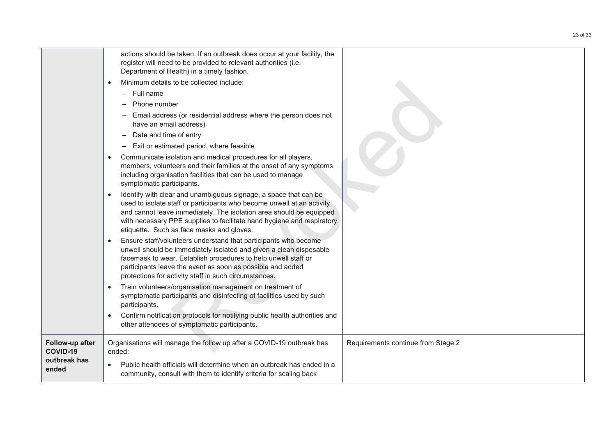|                                    | actions should be taken. If an outbreak does occur at your facility, the<br>register will need to be provided to relevant authorities (i.e.<br>Department of Health) in a timely fashion.                                                                                                                                                |                                    |
|------------------------------------|------------------------------------------------------------------------------------------------------------------------------------------------------------------------------------------------------------------------------------------------------------------------------------------------------------------------------------------|------------------------------------|
|                                    | Minimum details to be collected include:                                                                                                                                                                                                                                                                                                 |                                    |
|                                    | - Full name                                                                                                                                                                                                                                                                                                                              |                                    |
|                                    | Phone number                                                                                                                                                                                                                                                                                                                             |                                    |
|                                    | Email address (or residential address where the person does not<br>have an email address)                                                                                                                                                                                                                                                |                                    |
|                                    | Date and time of entry                                                                                                                                                                                                                                                                                                                   |                                    |
|                                    | Exit or estimated period, where feasible                                                                                                                                                                                                                                                                                                 |                                    |
|                                    | Communicate isolation and medical procedures for all players,<br>members, volunteers and their families at the onset of any symptoms<br>including organisation facilities that can be used to manage<br>symptomatic participants.                                                                                                        |                                    |
|                                    | Identify with clear and unambiguous signage, a space that can be<br>used to isolate staff or participants who become unwell at an activity<br>and cannot leave immediately. The isolation area should be equipped<br>with necessary PPE supplies to facilitate hand hygiene and respiratory<br>etiquette. Such as face masks and gloves. |                                    |
|                                    | Ensure staff/volunteers understand that participants who become<br>unwell should be immediately isolated and given a clean disposable<br>facemask to wear. Establish procedures to help unwell staff or<br>participants leave the event as soon as possible and added<br>protections for activity staff in such circumstances.           |                                    |
|                                    | Train volunteers/organisation management on treatment of<br>symptomatic participants and disinfecting of facilities used by such<br>participants.                                                                                                                                                                                        |                                    |
|                                    | Confirm notification protocols for notifying public health authorities and<br>other attendees of symptomatic participants.                                                                                                                                                                                                               |                                    |
| Follow-up after<br><b>COVID-19</b> | Organisations will manage the follow up after a COVID-19 outbreak has<br>ended:                                                                                                                                                                                                                                                          | Requirements continue from Stage 2 |
| outbreak has<br>ended              | Public health officials will determine when an outbreak has ended in a<br>community, consult with them to identify criteria for scaling back                                                                                                                                                                                             |                                    |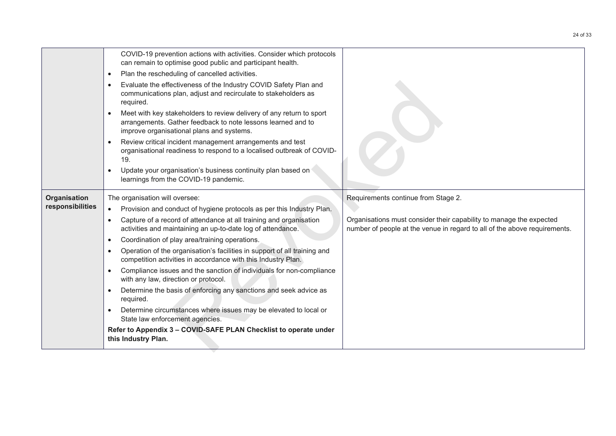|                  | COVID-19 prevention actions with activities. Consider which protocols<br>can remain to optimise good public and participant health.                                               |                                                                                                                                                  |
|------------------|-----------------------------------------------------------------------------------------------------------------------------------------------------------------------------------|--------------------------------------------------------------------------------------------------------------------------------------------------|
|                  | Plan the rescheduling of cancelled activities.<br>$\bullet$                                                                                                                       |                                                                                                                                                  |
|                  | Evaluate the effectiveness of the Industry COVID Safety Plan and<br>communications plan, adjust and recirculate to stakeholders as<br>required.                                   |                                                                                                                                                  |
|                  | Meet with key stakeholders to review delivery of any return to sport<br>arrangements. Gather feedback to note lessons learned and to<br>improve organisational plans and systems. |                                                                                                                                                  |
|                  | Review critical incident management arrangements and test<br>organisational readiness to respond to a localised outbreak of COVID-<br>19.                                         |                                                                                                                                                  |
|                  | Update your organisation's business continuity plan based on<br>learnings from the COVID-19 pandemic.                                                                             |                                                                                                                                                  |
| Organisation     | The organisation will oversee:                                                                                                                                                    | Requirements continue from Stage 2.                                                                                                              |
| responsibilities | Provision and conduct of hygiene protocols as per this Industry Plan.<br>$\bullet$                                                                                                |                                                                                                                                                  |
|                  | Capture of a record of attendance at all training and organisation<br>activities and maintaining an up-to-date log of attendance.                                                 | Organisations must consider their capability to manage the expected<br>number of people at the venue in regard to all of the above requirements. |
|                  | Coordination of play area/training operations.<br>$\bullet$                                                                                                                       |                                                                                                                                                  |
|                  | Operation of the organisation's facilities in support of all training and<br>competition activities in accordance with this Industry Plan.                                        |                                                                                                                                                  |
|                  | Compliance issues and the sanction of individuals for non-compliance<br>with any law, direction or protocol.                                                                      |                                                                                                                                                  |
|                  | Determine the basis of enforcing any sanctions and seek advice as<br>required.                                                                                                    |                                                                                                                                                  |
|                  | Determine circumstances where issues may be elevated to local or<br>State law enforcement agencies.                                                                               |                                                                                                                                                  |
|                  | Refer to Appendix 3 - COVID-SAFE PLAN Checklist to operate under<br>this Industry Plan.                                                                                           |                                                                                                                                                  |
|                  |                                                                                                                                                                                   |                                                                                                                                                  |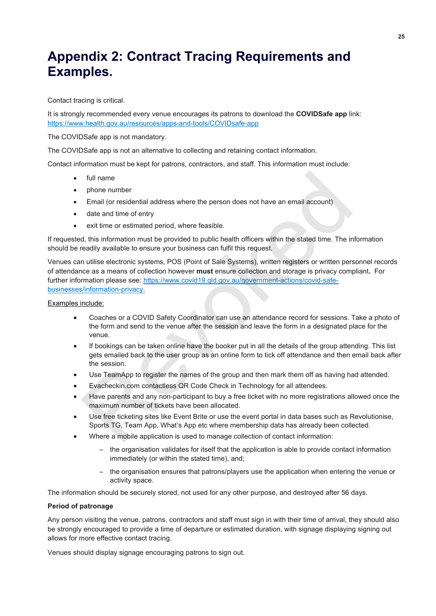# <span id="page-24-0"></span>**Appendix 2: Contract Tracing Requirements and Examples.**

Contact tracing is critical.

It is strongly recommended every venue encourages its patrons to download the **COVIDSafe app** link: <https://www.health.gov.au/resources/apps-and-tools/COVIDsafe-app>

The COVIDSafe app is not mandatory.

The COVIDSafe app is not an alternative to collecting and retaining contact information.

Contact information must be kept for patrons, contractors, and staff. This information must include:

- full name
- phone number
- Email (or residential address where the person does not have an email account)
- date and time of entry
- exit time or estimated period, where feasible.

If requested, this information must be provided to public health officers within the stated time. The information should be readily available to ensure your business can fulfil this request.

Venues can utilise electronic systems, POS (Point of Sale Systems), written registers or written personnel records of attendance as a means of collection however **must** ensure collection and storage is privacy compliant**.** For further information please see: https://www.covid19.qld.gov.au/government-actions/covid-safebusinesses/information-privacy. full name<br>
phone number<br>
Email (or residential address where the person does not have an email account)<br>
date and time of entry<br>
exit time or estimated period, where feasible.<br>
d, this information must be provided to publi

#### Examples include:

- Coaches or a COVID Safety Coordinator can use an attendance record for sessions. Take a photo of the form and send to the venue after the session and leave the form in a designated place for the venue.
- If bookings can be taken online have the booker put in all the details of the group attending. This list gets emailed back to the user group as an online form to tick off attendance and then email back after the session.
- Use TeamApp to register the names of the group and then mark them off as having had attended.
- Evacheckin.com contactless QR Code Check in Technology for all attendees.
- Have parents and any non-participant to buy a free ticket with no more registrations allowed once the maximum number of tickets have been allocated.
- Use free ticketing sites like Event Brite or use the event portal in data bases such as Revolutionise, Sports TG, Team App, What's App etc where membership data has already been collected.
- Where a mobile application is used to manage collection of contact information:
	- the organisation validates for itself that the application is able to provide contact information immediately (or within the stated time), and;
	- the organisation ensures that patrons/players use the application when entering the venue or activity space.

The information should be securely stored, not used for any other purpose, and destroyed after 56 days.

#### **Period of patronage**

Any person visiting the venue, patrons, contractors and staff must sign in with their time of arrival, they should also be strongly encouraged to provide a time of departure or estimated duration, with signage displaying signing out allows for more effective contact tracing.

Venues should display signage encouraging patrons to sign out.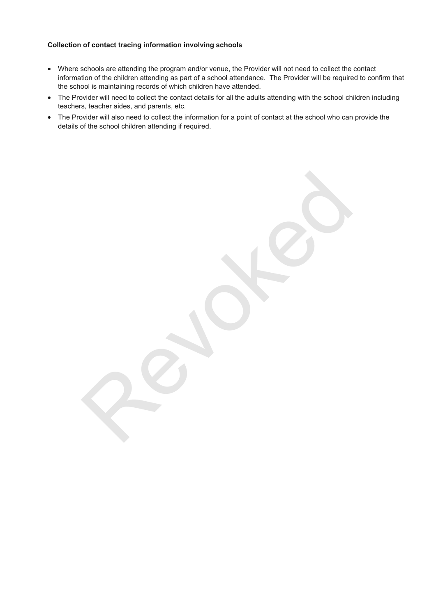#### **Collection of contact tracing information involving schools**

- Where schools are attending the program and/or venue, the Provider will not need to collect the contact information of the children attending as part of a school attendance. The Provider will be required to confirm that the school is maintaining records of which children have attended.
- The Provider will need to collect the contact details for all the adults attending with the school children including teachers, teacher aides, and parents, etc.
- The Provider will also need to collect the information for a point of contact at the school who can provide the details of the school children attending if required.

Percoked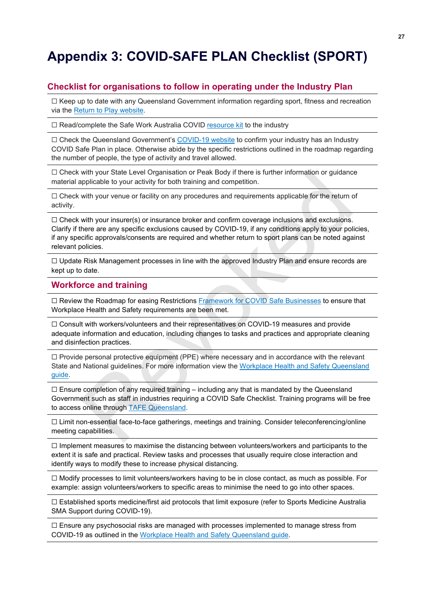# <span id="page-26-0"></span>**Appendix 3: COVID-SAFE PLAN Checklist (SPORT)**

#### **Checklist for organisations to follow in operating under the Industry Plan**

 $\Box$  Keep up to date with any Queensland Government information regarding sport, fitness and recreation via the Return to Play [website.](https://www.covid19.qld.gov.au/government-actions/roadmap-to-easing-queenslands-restrictions/sport)

□ Read/complete the Safe Work Australia COVID [resource](https://www.safeworkaustralia.gov.au/collection/covid-19-resource-kit) kit to the industry

□ Check the Queensland Government's [COVID-19](https://www.covid19.qld.gov.au/government-actions/approved-industry-covid-safe-plans#checklists) website to confirm your industry has an Industry COVID Safe Plan in place. Otherwise abide by the specific restrictions outlined in the roadmap regarding the number of people, the type of activity and travel allowed.

☐ Check with your State Level Organisation or Peak Body if there is further information or guidance material applicable to your activity for both training and competition.

□ Check with your venue or facility on any procedures and requirements applicable for the return of activity.

 $\Box$  Check with your insurer(s) or insurance broker and confirm coverage inclusions and exclusions. Clarify if there are any specific exclusions caused by COVID-19, if any conditions apply to your policies, if any specific approvals/consents are required and whether return to sport plans can be noted against relevant policies. with your State Level Organisation or Peak Body it there is turther information or guidance<br>upplicable to your activity for both training and competition.<br>With your venue or facility on any procedures and requirements appl

 $\Box$  Update Risk Management processes in line with the approved Industry Plan and ensure records are kept up to date.

#### **Workforce and training**

□ Review the Roadmap for easing Restrictions Framework for COVID Safe Businesses to ensure that Workplace Health and Safety requirements are been met.

☐ Consult with workers/volunteers and their representatives on COVID-19 measures and provide adequate information and education, including changes to tasks and practices and appropriate cleaning and disinfection practices.

☐ Provide personal protective equipment (PPE) where necessary and in accordance with the relevant State and National guidelines. For more information view the Workplace Health and Safety Queensland [guide.](https://www.worksafe.qld.gov.au/__data/assets/pdf_file/0005/191678/covid-19-overview-and-guide.pdf)

 $\square$  Ensure completion of any required training – including any that is mandated by the Queensland Government such as staff in industries requiring a COVID Safe Checklist. Training programs will be free to access online through TAFE Queensland.

☐ Limit non-essential face-to-face gatherings, meetings and training. Consider teleconferencing/online meeting capabilities.

☐ Implement measures to maximise the distancing between volunteers/workers and participants to the extent it is safe and practical. Review tasks and processes that usually require close interaction and identify ways to modify these to increase physical distancing.

☐ Modify processes to limit volunteers/workers having to be in close contact, as much as possible. For example: assign volunteers/workers to specific areas to minimise the need to go into other spaces.

☐ Established sports medicine/first aid protocols that limit exposure (refer to Sports Medicine Australia SMA Support during COVID-19).

 $\Box$  Ensure any psychosocial risks are managed with processes implemented to manage stress from COVID-19 as outlined in the Workplace Health and Safety [Queensland](https://www.worksafe.qld.gov.au/__data/assets/pdf_file/0005/191678/covid-19-overview-and-guide.pdf) guide.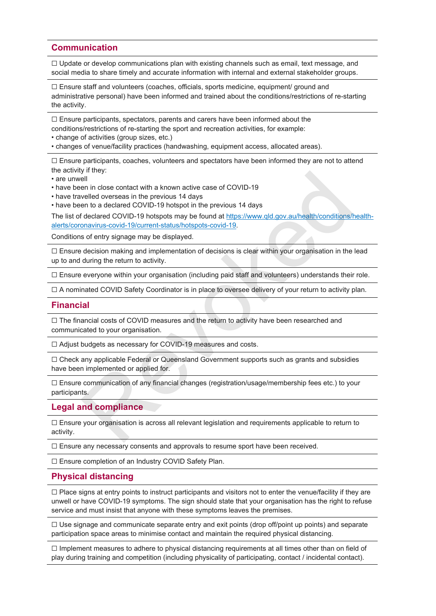#### **Communication**

 $\Box$  Update or develop communications plan with existing channels such as email, text message, and social media to share timely and accurate information with internal and external stakeholder groups.

 $\Box$  Ensure staff and volunteers (coaches, officials, sports medicine, equipment/ ground and administrative personal) have been informed and trained about the conditions/restrictions of re-starting the activity.

 $\Box$  Ensure participants, spectators, parents and carers have been informed about the conditions/restrictions of re-starting the sport and recreation activities, for example:

• change of activities (group sizes, etc.)

• changes of venue/facility practices (handwashing, equipment access, allocated areas).

☐ Ensure participants, coaches, volunteers and spectators have been informed they are not to attend the activity if they:

• are unwell

- have been in close contact with a known active case of COVID-19
- have travelled overseas in the previous 14 days

• have been to a declared COVID-19 hotspot in the previous 14 days

The list of declared COVID-19 hotspots may be found at https://www.qld.gov.au/health/conditions/healthalerts/coronavirus-covid-19/current-status/hotspots-covid-19.

Conditions of entry signage may be displayed.

☐ Ensure decision making and implementation of decisions is clear within your organisation in the lead up to and during the return to activity. y unery.<br>
The inclose contact with a known active case of COVID-19<br>
evell[ed](https://www.qld.gov.au/health/conditions/health-alerts/coronavirus-covid-19/current-status/hotspots-covid-19) overseas in the previous 14 days<br>
evelled overseas in the previous 14 days<br>
declared COVID-19 hotspot in the previous 14 days<br>
declared COVID-19 h

☐ Ensure everyone within your organisation (including paid staff and volunteers) understands their role.

☐ A nominated COVID Safety Coordinator is in place to oversee delivery of your return to activity plan.

#### **Financial**

☐ The financial costs of COVID measures and the return to activity have been researched and communicated to your organisation.

☐ Adjust budgets as necessary for COVID-19 measures and costs.

☐ Check any applicable Federal or Queensland Government supports such as grants and subsidies have been implemented or applied for.

☐ Ensure communication of any financial changes (registration/usage/membership fees etc.) to your participants.

#### **Legal and compliance**

☐ Ensure your organisation is across all relevant legislation and requirements applicable to return to activity.

☐ Ensure any necessary consents and approvals to resume sport have been received.

☐ Ensure completion of an Industry COVID Safety Plan.

#### **Physical distancing**

□ Place signs at entry points to instruct participants and visitors not to enter the venue/facility if they are unwell or have COVID-19 symptoms. The sign should state that your organisation has the right to refuse service and must insist that anyone with these symptoms leaves the premises.

 $\Box$  Use signage and communicate separate entry and exit points (drop off/point up points) and separate participation space areas to minimise contact and maintain the required physical distancing.

☐ Implement measures to adhere to physical distancing requirements at all times other than on field of play during training and competition (including physicality of participating, contact / incidental contact).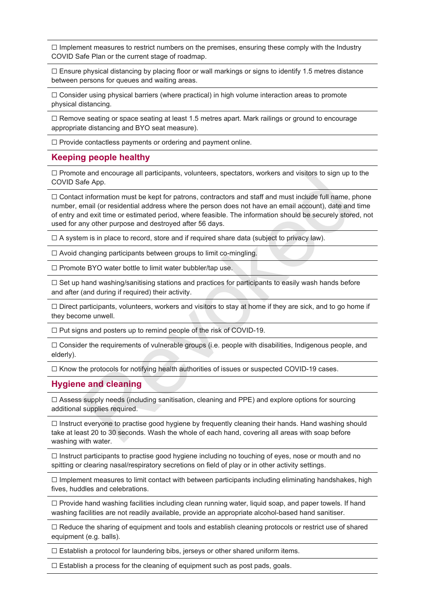$\Box$  Implement measures to restrict numbers on the premises, ensuring these comply with the Industry COVID Safe Plan or the current stage of roadmap.

 $\Box$  Ensure physical distancing by placing floor or wall markings or signs to identify 1.5 metres distance between persons for queues and waiting areas.

 $\Box$  Consider using physical barriers (where practical) in high volume interaction areas to promote physical distancing.

 $\Box$  Remove seating or space seating at least 1.5 metres apart. Mark railings or ground to encourage appropriate distancing and BYO seat measure).

☐ Provide contactless payments or ordering and payment online.

#### **Keeping people healthy**

 $\Box$  Promote and encourage all participants, volunteers, spectators, workers and visitors to sign up to the COVID Safe App.

 $\Box$  Contact information must be kept for patrons, contractors and staff and must include full name, phone number, email (or residential address where the person does not have an email account), date and time of entry and exit time or estimated period, where feasible. The information should be securely stored, not used for any other purpose and destroyed after 56 days. is and encourage all participants, volunteers, spectators, workers and visitors to sign up thand encourage all participants, volunteers and staff and must include full name, the thermation must be kept for patrons, contrac

 $\Box$  A system is in place to record, store and if required share data (subject to privacy law).

 $\Box$  Avoid changing participants between groups to limit co-mingling.

☐ Promote BYO water bottle to limit water bubbler/tap use.

☐ Set up hand washing/sanitising stations and practices for participants to easily wash hands before and after (and during if required) their activity.

☐ Direct participants, volunteers, workers and visitors to stay at home if they are sick, and to go home if they become unwell.

☐ Put signs and posters up to remind people of the risk of COVID-19.

 $\Box$  Consider the requirements of vulnerable groups (i.e. people with disabilities, Indigenous people, and elderly).

☐ Know the protocols for notifying health authorities of issues or suspected COVID-19 cases.

#### **Hygiene and cleaning**

 $\Box$  Assess supply needs (including sanitisation, cleaning and PPE) and explore options for sourcing additional supplies required.

☐ Instruct everyone to practise good hygiene by frequently cleaning their hands. Hand washing should take at least 20 to 30 seconds. Wash the whole of each hand, covering all areas with soap before washing with water.

 $\Box$  Instruct participants to practise good hygiene including no touching of eyes, nose or mouth and no spitting or clearing nasal/respiratory secretions on field of play or in other activity settings.

 $\Box$  Implement measures to limit contact with between participants including eliminating handshakes, high fives, huddles and celebrations.

☐ Provide hand washing facilities including clean running water, liquid soap, and paper towels. If hand washing facilities are not readily available, provide an appropriate alcohol-based hand sanitiser.

☐ Reduce the sharing of equipment and tools and establish cleaning protocols or restrict use of shared equipment (e.g. balls).

☐ Establish a protocol for laundering bibs, jerseys or other shared uniform items.

 $\Box$  Establish a process for the cleaning of equipment such as post pads, goals.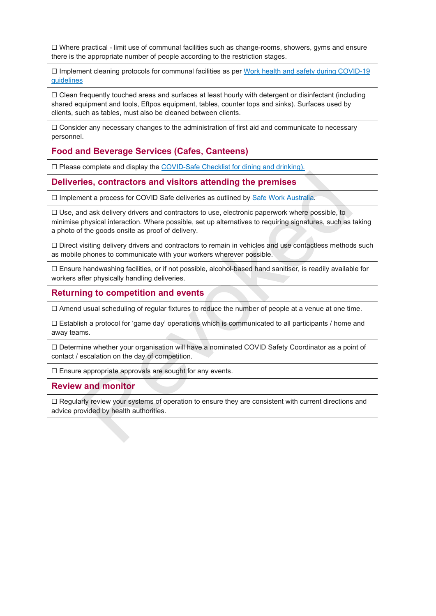$\Box$  Where practical - limit use of communal facilities such as change-rooms, showers, gyms and ensure there is the appropriate number of people according to the restriction stages.

☐ Implement cleaning protocols for communal facilities as per Work health and safety during [COVID-19](https://www.worksafe.qld.gov.au/__data/assets/pdf_file/0005/191678/covid-19-overview-and-guide.pdf) [guidelines](https://www.worksafe.qld.gov.au/__data/assets/pdf_file/0005/191678/covid-19-overview-and-guide.pdf)

☐ Clean frequently touched areas and surfaces at least hourly with detergent or disinfectant (including shared equipment and tools, Eftpos equipment, tables, counter tops and sinks). Surfaces used by clients, such as tables, must also be cleaned between clients.

 $\Box$  Consider any necessary changes to the administration of first aid and communicate to necessary personnel.

#### **Food and Beverage Services (Cafes, Canteens)**

□ Please complete and display the COVID-Safe Checklist for dining and drinking).

#### **Deliveries, contractors and visitors attending the premises**

☐ Implement a process for COVID Safe deliveries as outlined by Safe Work Australia.

 $\Box$  Use, and ask delivery drivers and contractors to use, electronic paperwork where possible, to minimise physical interaction. Where possible, set up alternatives to requiring signatures, such as taking a photo of the goods onsite as proof of delivery. **ies, contractors an[d](https://www.safeworkaustralia.gov.au/covid-19-information-workplaces/industry-information/general-industry-information/physical?tab=tab-toc-employer) visitiors attending the premises**<br>
Revoked a process for COVID Safe deliveries as outlined by Safe Work Australia.<br>
And ask delivery drivers and contractors to use, electronic paperwork where possible

□ Direct visiting delivery drivers and contractors to remain in vehicles and use contactless methods such as mobile phones to communicate with your workers wherever possible.

☐ Ensure handwashing facilities, or if not possible, alcohol-based hand sanitiser, is readily available for workers after physically handling deliveries.

#### **Returning to competition and events**

 $\Box$  Amend usual scheduling of regular fixtures to reduce the number of people at a venue at one time.

 $\Box$  Establish a protocol for 'game day' operations which is communicated to all participants / home and away teams.

☐ Determine whether your organisation will have a nominated COVID Safety Coordinator as a point of contact / escalation on the day of competition.

☐ Ensure appropriate approvals are sought for any events.

#### **Review and monitor**

☐ Regularly review your systems of operation to ensure they are consistent with current directions and advice provided by health authorities.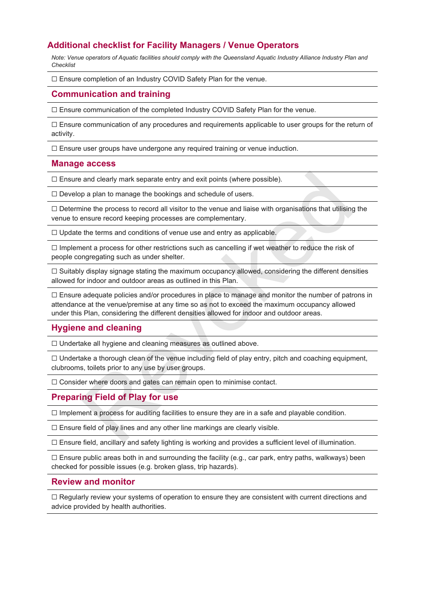#### **Additional checklist for Facility Managers / Venue Operators**

Note: Venue operators of Aquatic facilities should comply with the Queensland Aquatic Industry Alliance Industry Plan and *Checklist*

☐ Ensure completion of an Industry COVID Safety Plan for the venue.

#### **Communication and training**

☐ Ensure communication of the completed Industry COVID Safety Plan for the venue.

 $\Box$  Ensure communication of any procedures and requirements applicable to user groups for the return of activity.

☐ Ensure user groups have undergone any required training or venue induction.

#### **Manage access**

☐ Ensure and clearly mark separate entry and exit points (where possible).

 $\Box$  Develop a plan to manage the bookings and schedule of users.

 $\Box$  Determine the process to record all visitor to the venue and liaise with organisations that utilising the venue to ensure record keeping processes are complementary.

☐ Update the terms and conditions of venue use and entry as applicable.

 $\Box$  Implement a process for other restrictions such as cancelling if wet weather to reduce the risk of people congregating such as under shelter.

 $\Box$  Suitably display signage stating the maximum occupancy allowed, considering the different densities allowed for indoor and outdoor areas as outlined in this Plan.

 $\Box$  Ensure adequate policies and/or procedures in place to manage and monitor the number of patrons in attendance at the venue/premise at any time so as not to exceed the maximum occupancy allowed under this Plan, considering the different densities allowed for indoor and outdoor areas. and clearly mark separate entry and exit points (where possible).<br>
pa plan to manage the bookings and schedule of users.<br>
ine the process to record all visitor to the venue and liaise with organisations that utilising<br>
ens

#### **Hygiene and cleaning**

☐ Undertake all hygiene and cleaning measures as outlined above.

 $\Box$  Undertake a thorough clean of the venue including field of play entry, pitch and coaching equipment, clubrooms, toilets prior to any use by user groups.

□ Consider where doors and gates can remain open to minimise contact.

#### **Preparing Field of Play for use**

 $\Box$  Implement a process for auditing facilities to ensure they are in a safe and playable condition.

 $\Box$  Ensure field of play lines and any other line markings are clearly visible.

 $\Box$  Ensure field, ancillary and safety lighting is working and provides a sufficient level of illumination.

 $\Box$  Ensure public areas both in and surrounding the facility (e.g., car park, entry paths, walkways) been checked for possible issues (e.g. broken glass, trip hazards).

#### **Review and monitor**

☐ Regularly review your systems of operation to ensure they are consistent with current directions and advice provided by health authorities.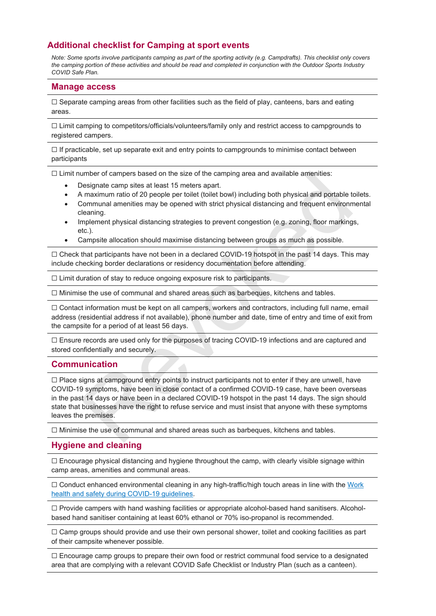#### **Additional checklist for Camping at sport events**

Note: Some sports involve participants camping as part of the sporting activity (e.g. Campdrafts). This checklist only covers the camping portion of these activities and should be read and completed in conjunction with the Outdoor Sports Industry *COVID Safe Plan.*

#### **Manage access**

 $\Box$  Separate camping areas from other facilities such as the field of play, canteens, bars and eating areas.

☐ Limit camping to competitors/officials/volunteers/family only and restrict access to campgrounds to registered campers.

 $\Box$  If practicable, set up separate exit and entry points to campgrounds to minimise contact between participants

 $\Box$  Limit number of campers based on the size of the camping area and available amenities:

- Designate camp sites at least 15 meters apart.
- A maximum ratio of 20 people per toilet (toilet bowl) including both physical and portable toilets.
- Communal amenities may be opened with strict physical distancing and frequent environmental cleaning.
- Implement physical distancing strategies to prevent congestion (e.g. zoning, floor markings, etc.).
- Campsite allocation should maximise distancing between groups as much as possible.

 $\Box$  Check that participants have not been in a declared COVID-19 hotspot in the past 14 days. This may include checking border declarations or residency documentation before attending.

☐ Limit duration of stay to reduce ongoing exposure risk to participants.

 $\Box$  Minimise the use of communal and shared areas such as barbeques, kitchens and tables.

☐ Contact information must be kept on all campers, workers and contractors, including full name, email address (residential address if not available), phone number and date, time of entry and time of exit from the campsite for a period of at least 56 days.

□ Ensure records are used only for the purposes of tracing COVID-19 infections and are captured and stored confidentially and securely.

#### **Communication**

 $\Box$  Place signs at campground entry points to instruct participants not to enter if they are unwell, have COVID-19 symptoms, have been in close contact of a confirmed COVID-19 case, have been overseas in the past 14 days or have been in a declared COVID-19 hotspot in the past 14 days. The sign should state that businesses have the right to refuse service and must insist that anyone with these symptoms leaves the premises. umber of campers based on the size of the camping area and available amenities:<br>Designate camp sites a tleast 15 meters apart.<br>The maximum ratio of 20 people per toliet (toilet bowl) including both physical and portable to

 $\Box$  Minimise the use of communal and shared areas such as barbeques, kitchens and tables.

#### **Hygiene and cleaning**

 $\Box$  Encourage physical distancing and hygiene throughout the camp, with clearly visible signage within camp areas, amenities and communal areas.

 $\Box$  Conduct enhanced environmental cleaning in any high-traffic/high touch areas in line with the [Work](https://www.worksafe.qld.gov.au/__data/assets/pdf_file/0005/191678/covid-19-overview-and-guide.pdf) health and safety during COVID-19 [guidelines.](https://www.worksafe.qld.gov.au/__data/assets/pdf_file/0005/191678/covid-19-overview-and-guide.pdf)

☐ Provide campers with hand washing facilities or appropriate alcohol-based hand sanitisers. Alcoholbased hand sanitiser containing at least 60% ethanol or 70% iso-propanol is recommended.

☐ Camp groups should provide and use their own personal shower, toilet and cooking facilities as part of their campsite whenever possible.

☐ Encourage camp groups to prepare their own food or restrict communal food service to a designated area that are complying with a relevant COVID Safe Checklist or Industry Plan (such as a canteen).